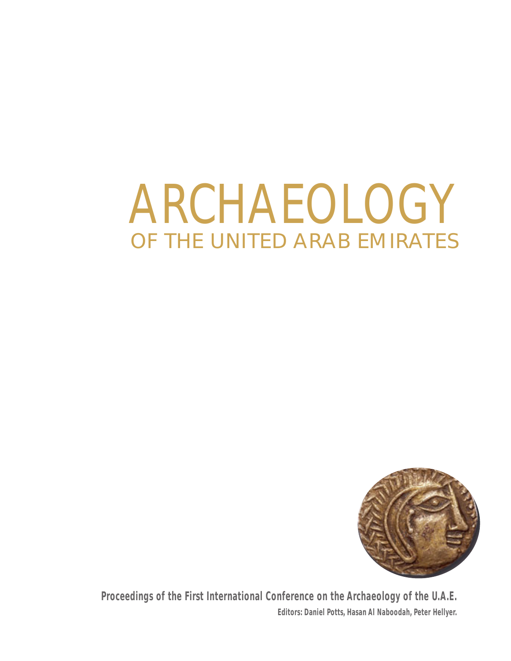# ARCHAEOLOGY OF THE UNITED ARAB EMIRATES



**Proceedings of the First International Conference on the Archaeology of the U.A.E. Editors: Daniel Potts, Hasan Al Naboodah, Peter Hellyer.**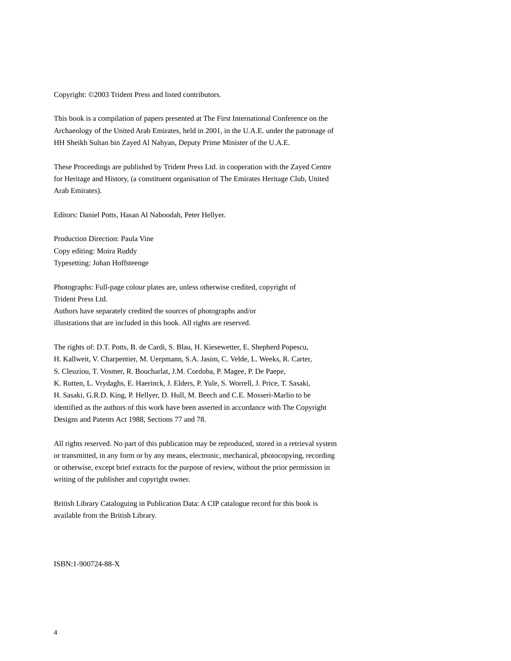<span id="page-1-0"></span>Copyright: ©2003 Trident Press and listed contributors.

This book is a compilation of papers presented at The First International Conference on the Archaeology of the United Arab Emirates, held in 2001, in the U.A.E. under the patronage of HH Sheikh Sultan bin Zayed Al Nahyan, Deputy Prime Minister of the U.A.E.

These Proceedings are published by Trident Press Ltd. in cooperation with the Zayed Centre for Heritage and History, (a constituent organisation of The Emirates Heritage Club, United Arab Emirates).

Editors: Daniel Potts, Hasan Al Naboodah, Peter Hellyer.

Production Direction: Paula Vine Copy editing: Moira Ruddy Typesetting: Johan Hoffsteenge

Photographs: Full-page colour plates are, unless otherwise credited, copyright of Trident Press Ltd. Authors have separately credited the sources of photographs and/or illustrations that are included in this book. All rights are reserved.

The rights of: D.T. Potts, B. de Cardi, S. Blau, H. Kiesewetter, E. Shepherd Popescu, H. Kallweit, V. Charpentier, M. Uerpmann, S.A. Jasim, C. Velde, L. Weeks, R. Carter, S. Cleuziou, T. Vosmer, R. Boucharlat, J.M. Cordoba, P. Magee, P. De Paepe, K. Rutten, L. Vrydaghs, E. Haerinck, J. Elders, P. Yule, S. Worrell, J. Price, T. Sasaki, H. Sasaki, G.R.D. King, P. Hellyer, D. Hull, M. Beech and C.E. Mosseri-Marlio to be identified as the authors of this work have been asserted in accordance with The Copyright Designs and Patents Act 1988, Sections 77 and 78.

All rights reserved. No part of this publication may be reproduced, stored in a retrieval system or transmitted, in any form or by any means, electronic, mechanical, photocopying, recording or otherwise, except brief extracts for the purpose of review, without the prior permission in writing of the publisher and copyright owner.

British Library Cataloguing in Publication Data: A CIP catalogue record for this book is available from the British Library.

ISBN:1-900724-88-X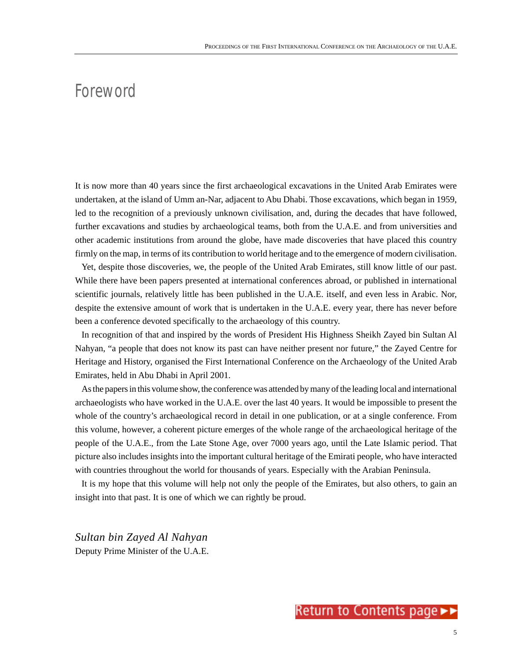# <span id="page-2-0"></span>Foreword

It is now more than 40 years since the first archaeological excavations in the United Arab Emirates were undertaken, at the island of Umm an-Nar, adjacent to Abu Dhabi. Those excavations, which began in 1959, led to the recognition of a previously unknown civilisation, and, during the decades that have followed, further excavations and studies by archaeological teams, both from the U.A.E. and from universities and other academic institutions from around the globe, have made discoveries that have placed this country firmly on the map, in terms of its contribution to world heritage and to the emergence of modern civilisation.

Yet, despite those discoveries, we, the people of the United Arab Emirates, still know little of our past. While there have been papers presented at international conferences abroad, or published in international scientific journals, relatively little has been published in the U.A.E. itself, and even less in Arabic. Nor, despite the extensive amount of work that is undertaken in the U.A.E. every year, there has never before been a conference devoted specifically to the archaeology of this country.

In recognition of that and inspired by the words of President His Highness Sheikh Zayed bin Sultan Al Nahyan, "a people that does not know its past can have neither present nor future," the Zayed Centre for Heritage and History, organised the First International Conference on the Archaeology of the United Arab Emirates, held in Abu Dhabi in April 2001.

As the papers in this volume show, the conference was attended by many of the leading local and international archaeologists who have worked in the U.A.E. over the last 40 years. It would be impossible to present the whole of the country's archaeological record in detail in one publication, or at a single conference. From this volume, however, a coherent picture emerges of the whole range of the archaeological heritage of the people of the U.A.E., from the Late Stone Age, over 7000 years ago, until the Late Islamic period. That picture also includes insights into the important cultural heritage of the Emirati people, who have interacted with countries throughout the world for thousands of years. Especially with the Arabian Peninsula.

It is my hope that this volume will help not only the people of the Emirates, but also others, to gain an insight into that past. It is one of which we can rightly be proud.

*Sultan bin Zayed Al Nahyan* Deputy Prime Minister of the U.A.E.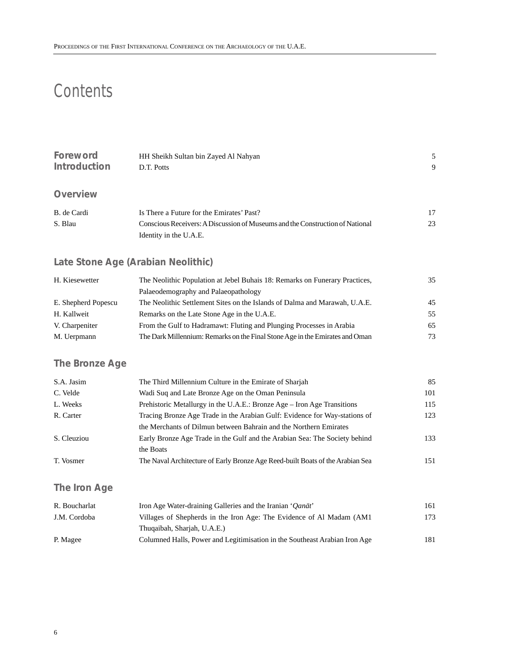# **Contents**

| Foreword<br>HH Sheikh Sultan bin Zayed Al Nahyan |                                                                               |    |  |  |  |  |
|--------------------------------------------------|-------------------------------------------------------------------------------|----|--|--|--|--|
| <b>Introduction</b>                              | D.T. Potts                                                                    |    |  |  |  |  |
|                                                  |                                                                               |    |  |  |  |  |
| Overview                                         |                                                                               |    |  |  |  |  |
| B. de Cardi                                      | Is There a Future for the Emirates' Past?                                     | 17 |  |  |  |  |
| S. Blau                                          | Conscious Receivers: A Discussion of Museums and the Construction of National |    |  |  |  |  |
|                                                  | Identity in the U.A.E.                                                        |    |  |  |  |  |

# **[Late Stone Age \(Arabian Neolithic\)](#page-1-0)**

| H. Kiesewetter      | 35                                                                           |    |
|---------------------|------------------------------------------------------------------------------|----|
|                     | Palaeodemography and Palaeopathology                                         |    |
| E. Shepherd Popescu | The Neolithic Settlement Sites on the Islands of Dalma and Marawah, U.A.E.   | 45 |
| H. Kallweit         | Remarks on the Late Stone Age in the U.A.E.                                  | 55 |
| V. Charpeniter      | From the Gulf to Hadramawt: Fluting and Plunging Processes in Arabia         | 65 |
| M. Uerpmann         | The Dark Millennium: Remarks on the Final Stone Age in the Emirates and Oman | 73 |

# **[The Bronze Age](#page-1-0)**

| S.A. Jasim  | The Third Millennium Culture in the Emirate of Sharjah                         | 85  |
|-------------|--------------------------------------------------------------------------------|-----|
| C. Velde    | Wadi Suq and Late Bronze Age on the Oman Peninsula                             | 101 |
| L. Weeks    | Prehistoric Metallurgy in the U.A.E.: Bronze Age – Iron Age Transitions        | 115 |
| R. Carter   | Tracing Bronze Age Trade in the Arabian Gulf: Evidence for Way-stations of     | 123 |
|             | the Merchants of Dilmun between Bahrain and the Northern Emirates              |     |
| S. Cleuziou | Early Bronze Age Trade in the Gulf and the Arabian Sea: The Society behind     | 133 |
|             | the Boats                                                                      |     |
| T. Vosmer   | The Naval Architecture of Early Bronze Age Reed-built Boats of the Arabian Sea | 151 |

# **[The Iron Age](#page-1-0)**

| R. Boucharlat | Iron Age Water-draining Galleries and the Iranian 'Oanāt'                  | 161 |
|---------------|----------------------------------------------------------------------------|-----|
| J.M. Cordoba  | Villages of Shepherds in the Iron Age: The Evidence of Al Madam (AM1)      | 173 |
|               | Thuqaibah, Sharjah, U.A.E.)                                                |     |
| P. Magee      | Columned Halls, Power and Legitimisation in the Southeast Arabian Iron Age | 181 |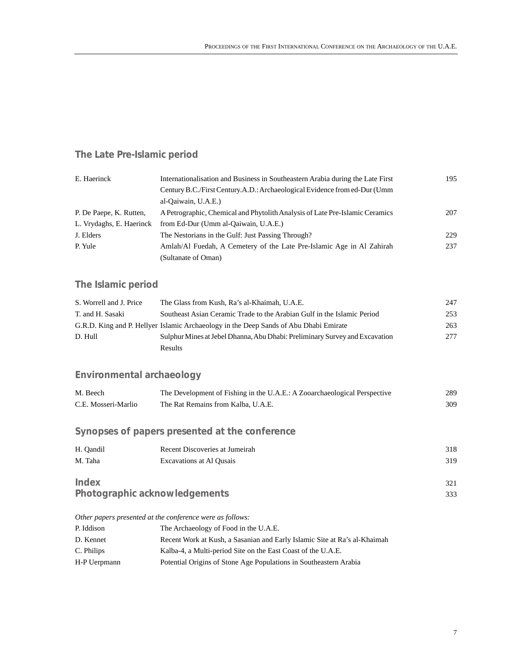# <span id="page-4-0"></span>**[The Late Pre-Islamic period](#page-1-0)**

| E. Haerinck              | Internationalisation and Business in Southeastern Arabia during the Late First |     |  |  |  |  |
|--------------------------|--------------------------------------------------------------------------------|-----|--|--|--|--|
|                          | Century B.C./First Century.A.D.: Archaeological Evidence from ed-Dur (Umm      |     |  |  |  |  |
|                          | al-Qaiwain, U.A.E.)                                                            |     |  |  |  |  |
| P. De Paepe, K. Rutten,  | A Petrographic, Chemical and Phytolith Analysis of Late Pre-Islamic Ceramics   | 207 |  |  |  |  |
| L. Vrydaghs, E. Haerinck | from Ed-Dur (Umm al-Qaiwain, U.A.E.)                                           |     |  |  |  |  |
| J. Elders                | The Nestorians in the Gulf: Just Passing Through?                              | 229 |  |  |  |  |
| P. Yule                  | Amlah/Al Fuedah, A Cemetery of the Late Pre-Islamic Age in Al Zahirah          | 237 |  |  |  |  |
|                          | (Sultanate of Oman)                                                            |     |  |  |  |  |

# **[The Islamic period](#page-1-0)**

| S. Worrell and J. Price | The Glass from Kush, Ra's al-Khaimah, U.A.E.                                          | 247 |
|-------------------------|---------------------------------------------------------------------------------------|-----|
| T. and H. Sasaki        | Southeast Asian Ceramic Trade to the Arabian Gulf in the Islamic Period               | 253 |
|                         | G.R.D. King and P. Hellyer Islamic Archaeology in the Deep Sands of Abu Dhabi Emirate | 263 |
| D. Hull                 | Sulphur Mines at Jebel Dhanna, Abu Dhabi: Preliminary Survey and Excavation           | 277 |
|                         | <b>Results</b>                                                                        |     |

# **[Environmental archaeology](#page-1-0)**

| M. Beech                                       | The Development of Fishing in the U.A.E.: A Zooarchaeological Perspective | 289 |  |  |  |  |
|------------------------------------------------|---------------------------------------------------------------------------|-----|--|--|--|--|
| C.E. Mosseri-Marlio                            | The Rat Remains from Kalba, U.A.E.                                        | 309 |  |  |  |  |
|                                                |                                                                           |     |  |  |  |  |
| Synopses of papers presented at the conference |                                                                           |     |  |  |  |  |

| H. Oandil                     | Recent Discoveries at Jumeirah | 318 |  |  |
|-------------------------------|--------------------------------|-----|--|--|
| M. Taha                       | Excavations at Al Ousais       | 319 |  |  |
| Index                         |                                | 321 |  |  |
| Photographic acknowledgements |                                |     |  |  |

*Other papers presented at the conference were as follows:*

| P. Iddison   | The Archaeology of Food in the U.A.E.                                     |
|--------------|---------------------------------------------------------------------------|
| D. Kennet    | Recent Work at Kush, a Sasanian and Early Islamic Site at Ra's al-Khaimah |
| C. Philips   | Kalba-4, a Multi-period Site on the East Coast of the U.A.E.              |
| H-P Uerpmann | Potential Origins of Stone Age Populations in Southeastern Arabia         |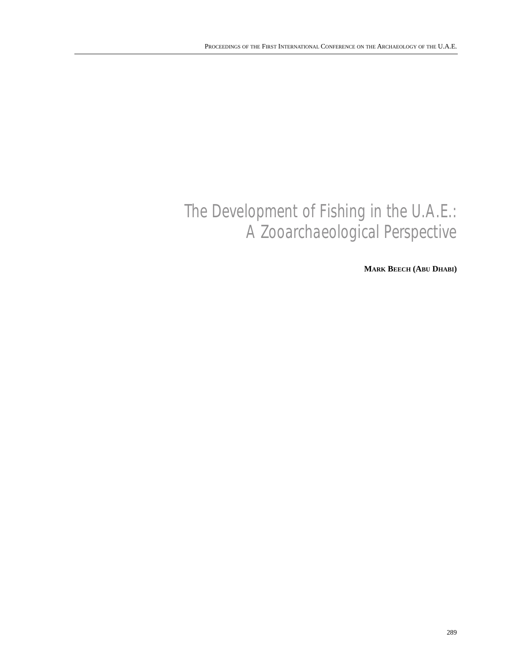# [The Development of Fishing in the U.A.E.:](#page-6-0) A Zooarchaeological Perspective

**MARK BEECH (ABU DHABI)**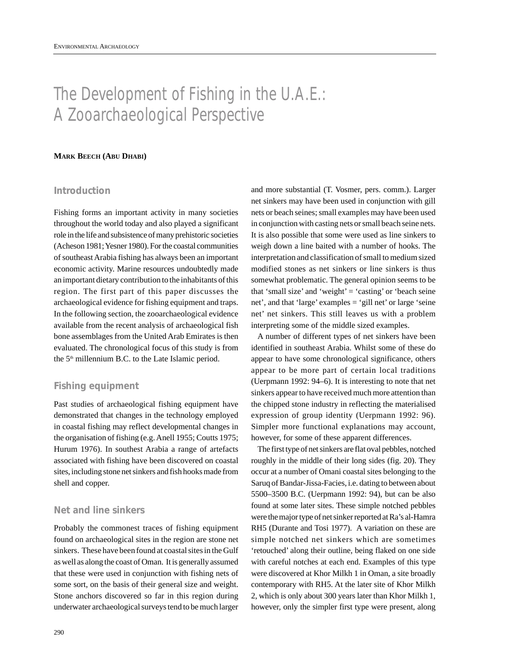# <span id="page-6-0"></span>The Development of Fishing in the U.A.E.: A Zooarchaeological Perspective

#### **MARK BEECH (ABU DHABI)**

# **Introduction**

Fishing forms an important activity in many societies throughout the world today and also played a significant role in the life and subsistence of many prehistoric societies (Acheson 1981; Yesner 1980). For the coastal communities of southeast Arabia fishing has always been an important economic activity. Marine resources undoubtedly made an important dietary contribution to the inhabitants of this region. The first part of this paper discusses the archaeological evidence for fishing equipment and traps. In the following section, the zooarchaeological evidence available from the recent analysis of archaeological fish bone assemblages from the United Arab Emirates is then evaluated. The chronological focus of this study is from the  $5<sup>th</sup>$  millennium B.C. to the Late Islamic period.

# **Fishing equipment**

Past studies of archaeological fishing equipment have demonstrated that changes in the technology employed in coastal fishing may reflect developmental changes in the organisation of fishing (e.g. Anell 1955; Coutts 1975; Hurum 1976). In southest Arabia a range of artefacts associated with fishing have been discovered on coastal sites, including stone net sinkers and fish hooks made from shell and copper.

# **Net and line sinkers**

Probably the commonest traces of fishing equipment found on archaeological sites in the region are stone net sinkers. These have been found at coastal sites in the Gulf as well as along the coast of Oman. It is generally assumed that these were used in conjunction with fishing nets of some sort, on the basis of their general size and weight. Stone anchors discovered so far in this region during underwater archaeological surveys tend to be much larger

and more substantial (T. Vosmer, pers. comm.). Larger net sinkers may have been used in conjunction with gill nets or beach seines; small examples may have been used in conjunction with casting nets or small beach seine nets. It is also possible that some were used as line sinkers to weigh down a line baited with a number of hooks. The interpretation and classification of small to medium sized modified stones as net sinkers or line sinkers is thus somewhat problematic. The general opinion seems to be that 'small size' and 'weight' = 'casting' or 'beach seine net', and that 'large' examples = 'gill net' or large 'seine net' net sinkers. This still leaves us with a problem interpreting some of the middle sized examples.

A number of different types of net sinkers have been identified in southeast Arabia. Whilst some of these do appear to have some chronological significance, others appear to be more part of certain local traditions (Uerpmann 1992: 94–6). It is interesting to note that net sinkers appear to have received much more attention than the chipped stone industry in reflecting the materialised expression of group identity (Uerpmann 1992: 96). Simpler more functional explanations may account, however, for some of these apparent differences.

The first type of net sinkers are flat oval pebbles, notched roughly in the middle of their long sides (fig. 20). They occur at a number of Omani coastal sites belonging to the Saruq of Bandar-Jissa-Facies, i.e. dating to between about 5500–3500 B.C. (Uerpmann 1992: 94), but can be also found at some later sites. These simple notched pebbles were the major type of net sinker reported at Ra's al-Hamra RH5 (Durante and Tosi 1977). A variation on these are simple notched net sinkers which are sometimes 'retouched' along their outline, being flaked on one side with careful notches at each end. Examples of this type were discovered at Khor Milkh 1 in Oman, a site broadly contemporary with RH5. At the later site of Khor Milkh 2, which is only about 300 years later than Khor Milkh 1, however, only the simpler first type were present, along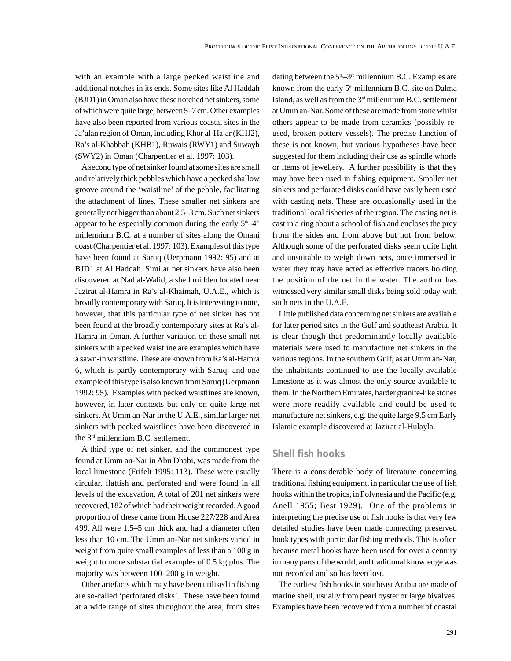with an example with a large pecked waistline and additional notches in its ends. Some sites like Al Haddah (BJD1) in Oman also have these notched net sinkers, some of which were quite large, between 5–7 cm. Other examples have also been reported from various coastal sites in the Ja'alan region of Oman, including Khor al-Hajar (KHJ2), Ra's al-Khabbah (KHB1), Ruwais (RWY1) and Suwayh (SWY2) in Oman (Charpentier et al. 1997: 103).

Asecond type of net sinker found at some sites are small and relatively thick pebbles which have a pecked shallow groove around the 'waistline' of the pebble, facilitating the attachment of lines. These smaller net sinkers are generally not bigger than about 2.5–3 cm. Such net sinkers appear to be especially common during the early  $5<sup>th</sup>-4<sup>th</sup>$ millennium B.C. at a number of sites along the Omani coast (Charpentier et al. 1997: 103). Examples of this type have been found at Saruq (Uerpmann 1992: 95) and at BJD1 at Al Haddah. Similar net sinkers have also been discovered at Nad al-Walid, a shell midden located near Jazirat al-Hamra in Ra's al-Khaimah, U.A.E., which is broadly contemporary with Saruq. It is interesting to note, however, that this particular type of net sinker has not been found at the broadly contemporary sites at Ra's al-Hamra in Oman. A further variation on these small net sinkers with a pecked waistline are examples which have a sawn-in waistline. These are known from Ra's al-Hamra 6, which is partly contemporary with Saruq, and one example of this type is also known from Saruq (Uerpmann 1992: 95). Examples with pecked waistlines are known, however, in later contexts but only on quite large net sinkers. At Umm an-Nar in the U.A.E., similar larger net sinkers with pecked waistlines have been discovered in the 3rd millennium B.C. settlement.

A third type of net sinker, and the commonest type found at Umm an-Nar in Abu Dhabi, was made from the local limestone (Frifelt 1995: 113). These were usually circular, flattish and perforated and were found in all levels of the excavation. A total of 201 net sinkers were recovered, 182 of which had their weight recorded. Agood proportion of these came from House 227/228 and Area 499. All were 1.5–5 cm thick and had a diameter often less than 10 cm. The Umm an-Nar net sinkers varied in weight from quite small examples of less than a 100 g in weight to more substantial examples of 0.5 kg plus. The majority was between 100–200 g in weight.

Other artefacts which may have been utilised in fishing are so-called 'perforated disks'. These have been found at a wide range of sites throughout the area, from sites dating between the  $5<sup>th</sup>-3<sup>rd</sup>$  millennium B.C. Examples are known from the early  $5<sup>th</sup>$  millennium B.C. site on Dalma Island, as well as from the  $3<sup>rd</sup>$  millennium B.C. settlement at Umm an-Nar. Some of these are made from stone whilst others appear to be made from ceramics (possibly reused, broken pottery vessels). The precise function of these is not known, but various hypotheses have been suggested for them including their use as spindle whorls or items of jewellery. A further possibility is that they may have been used in fishing equipment. Smaller net sinkers and perforated disks could have easily been used with casting nets. These are occasionally used in the traditional local fisheries of the region. The casting net is cast in a ring about a school of fish and encloses the prey from the sides and from above but not from below. Although some of the perforated disks seem quite light and unsuitable to weigh down nets, once immersed in water they may have acted as effective tracers holding the position of the net in the water. The author has witnessed very similar small disks being sold today with such nets in the U.A.E.

Little published data concerning net sinkers are available for later period sites in the Gulf and southeast Arabia. It is clear though that predominantly locally available materials were used to manufacture net sinkers in the various regions. In the southern Gulf, as at Umm an-Nar, the inhabitants continued to use the locally available limestone as it was almost the only source available to them. In the Northern Emirates, harder granite-like stones were more readily available and could be used to manufacture net sinkers, e.g. the quite large 9.5 cm Early Islamic example discovered at Jazirat al-Hulayla.

## **Shell fish hooks**

There is a considerable body of literature concerning traditional fishing equipment, in particular the use of fish hooks within the tropics, in Polynesia and the Pacific (e.g. Anell 1955; Best 1929). One of the problems in interpreting the precise use of fish hooks is that very few detailed studies have been made connecting preserved hook types with particular fishing methods. This is often because metal hooks have been used for over a century in many parts of the world, and traditional knowledge was not recorded and so has been lost.

The earliest fish hooks in southeast Arabia are made of marine shell, usually from pearl oyster or large bivalves. Examples have been recovered from a number of coastal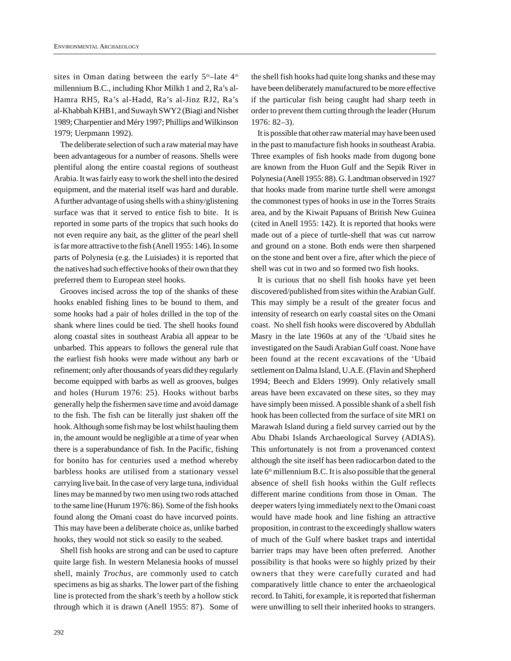sites in Oman dating between the early  $5<sup>th</sup>$ -late  $4<sup>th</sup>$ millennium B.C., including Khor Milkh 1 and 2, Ra's al-Hamra RH5, Ra's al-Hadd, Ra's al-Jinz RJ2, Ra's al-Khabbah KHB1, and Suwayh SWY2 (Biagi and Nisbet 1989; Charpentier and Méry 1997; Phillips and Wilkinson 1979; Uerpmann 1992).

The deliberate selection of such a raw material may have been advantageous for a number of reasons. Shells were plentiful along the entire coastal regions of southeast Arabia. It was fairly easy to work the shell into the desired equipment, and the material itself was hard and durable. Afurther advantage of using shells with a shiny/glistening surface was that it served to entice fish to bite. It is reported in some parts of the tropics that such hooks do not even require any bait, as the glitter of the pearl shell is far more attractive to the fish (Anell 1955: 146). In some parts of Polynesia (e.g. the Luisiades) it is reported that the natives had such effective hooks of their own that they preferred them to European steel hooks.

Grooves incised across the top of the shanks of these hooks enabled fishing lines to be bound to them, and some hooks had a pair of holes drilled in the top of the shank where lines could be tied. The shell hooks found along coastal sites in southeast Arabia all appear to be unbarbed. This appears to follows the general rule that the earliest fish hooks were made without any barb or refinement; only after thousands of years did they regularly become equipped with barbs as well as grooves, bulges and holes (Hurum 1976: 25). Hooks without barbs generally help the fishermen save time and avoid damage to the fish. The fish can be literally just shaken off the hook. Although some fish may be lost whilst hauling them in, the amount would be negligible at a time of year when there is a superabundance of fish. In the Pacific, fishing for bonito has for centuries used a method whereby barbless hooks are utilised from a stationary vessel carrying live bait. In the case of very large tuna, individual lines may be manned by two men using two rods attached to the same line (Hurum 1976: 86). Some of the fish hooks found along the Omani coast do have incurved points. This may have been a deliberate choice as, unlike barbed hooks, they would not stick so easily to the seabed.

Shell fish hooks are strong and can be used to capture quite large fish. In western Melanesia hooks of mussel shell, mainly *Trochus*, are commonly used to catch specimens as big as sharks. The lower part of the fishing line is protected from the shark's teeth by a hollow stick through which it is drawn (Anell 1955: 87). Some of the shell fish hooks had quite long shanks and these may have been deliberately manufactured to be more effective if the particular fish being caught had sharp teeth in order to prevent them cutting through the leader (Hurum 1976: 82–3).

It is possible that other raw material may have been used in the past to manufacture fish hooks in southeast Arabia. Three examples of fish hooks made from dugong bone are known from the Huon Gulf and the Sepik River in Polynesia (Anell 1955: 88). G. Landtman observed in 1927 that hooks made from marine turtle shell were amongst the commonest types of hooks in use in the Torres Straits area, and by the Kiwait Papuans of British New Guinea (cited in Anell 1955: 142). It is reported that hooks were made out of a piece of turtle-shell that was cut narrow and ground on a stone. Both ends were then sharpened on the stone and bent over a fire, after which the piece of shell was cut in two and so formed two fish hooks.

It is curious that no shell fish hooks have yet been discovered/published from sites within the Arabian Gulf. This may simply be a result of the greater focus and intensity of research on early coastal sites on the Omani coast. No shell fish hooks were discovered by Abdullah Masry in the late 1960s at any of the 'Ubaid sites he investigated on the Saudi Arabian Gulf coast. None have been found at the recent excavations of the 'Ubaid settlement on Dalma Island, U.A.E. (Flavin and Shepherd 1994; Beech and Elders 1999). Only relatively small areas have been excavated on these sites, so they may have simply been missed. Apossible shank of a shell fish hook has been collected from the surface of site MR1 on Marawah Island during a field survey carried out by the Abu Dhabi Islands Archaeological Survey (ADIAS). This unfortunately is not from a provenanced context although the site itself has been radiocarbon dated to the late  $6<sup>th</sup>$  millennium B.C. It is also possible that the general absence of shell fish hooks within the Gulf reflects different marine conditions from those in Oman. The deeper waters lying immediately next to the Omani coast would have made hook and line fishing an attractive proposition, in contrast to the exceedingly shallow waters of much of the Gulf where basket traps and intertidal barrier traps may have been often preferred. Another possibility is that hooks were so highly prized by their owners that they were carefully curated and had comparatively little chance to enter the archaeological record. In Tahiti, for example, it is reported that fisherman were unwilling to sell their inherited hooks to strangers.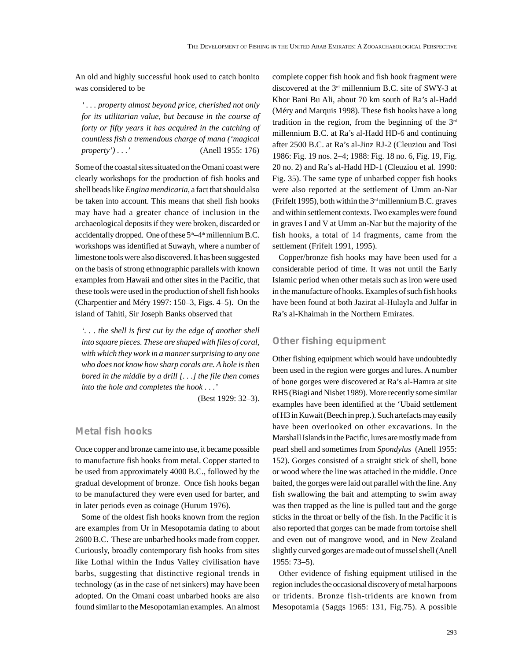An old and highly successful hook used to catch bonito was considered to be

*' . . . property almost beyond price, cherished not only for its utilitarian value, but because in the course of forty or fifty years it has acquired in the catching of countless fish a tremendous charge of mana ('magical property') . . .'* (Anell 1955: 176)

Some of the coastal sites situated on the Omani coast were clearly workshops for the production of fish hooks and shell beads like *Engina mendicaria*, a fact that should also be taken into account. This means that shell fish hooks may have had a greater chance of inclusion in the archaeological deposits if they were broken, discarded or accidentally dropped. One of these  $5<sup>th</sup>-4<sup>th</sup>$  millennium B.C. workshops was identified at Suwayh, where a number of limestone tools were also discovered. It has been suggested on the basis of strong ethnographic parallels with known examples from Hawaii and other sites in the Pacific, that these tools were used in the production of shell fish hooks (Charpentier and Méry 1997: 150–3, Figs. 4–5). On the island of Tahiti, Sir Joseph Banks observed that

*'. . . the shell is first cut by the edge of another shell into square pieces. These are shaped with files of coral, with which they work in a manner surprising to any one who does not know how sharp corals are. A hole is then bored in the middle by a drill [. . .] the file then comes into the hole and completes the hook . . .'*

(Best 1929: 32–3).

# **Metal fish hooks**

Once copper and bronze came into use, it became possible to manufacture fish hooks from metal. Copper started to be used from approximately 4000 B.C., followed by the gradual development of bronze. Once fish hooks began to be manufactured they were even used for barter, and in later periods even as coinage (Hurum 1976).

Some of the oldest fish hooks known from the region are examples from Ur in Mesopotamia dating to about 2600 B.C. These are unbarbed hooks made from copper. Curiously, broadly contemporary fish hooks from sites like Lothal within the Indus Valley civilisation have barbs, suggesting that distinctive regional trends in technology (as in the case of net sinkers) may have been adopted. On the Omani coast unbarbed hooks are also found similar to the Mesopotamian examples. An almost complete copper fish hook and fish hook fragment were discovered at the  $3<sup>rd</sup>$  millennium B.C. site of SWY-3 at Khor Bani Bu Ali, about 70 km south of Ra's al-Hadd (Méry and Marquis 1998). These fish hooks have a long tradition in the region, from the beginning of the  $3<sup>rd</sup>$ millennium B.C. at Ra's al-Hadd HD-6 and continuing after 2500 B.C. at Ra's al-Jinz RJ-2 (Cleuziou and Tosi 1986: Fig. 19 nos. 2–4; 1988: Fig. 18 no. 6, Fig. 19, Fig. 20 no. 2) and Ra's al-Hadd HD-1 (Cleuziou et al. 1990: Fig. 35). The same type of unbarbed copper fish hooks were also reported at the settlement of Umm an-Nar (Frifelt 1995), both within the  $3<sup>rd</sup>$  millennium B.C. graves and within settlement contexts. Two examples were found in graves I and V at Umm an-Nar but the majority of the fish hooks, a total of 14 fragments, came from the settlement (Frifelt 1991, 1995).

Copper/bronze fish hooks may have been used for a considerable period of time. It was not until the Early Islamic period when other metals such as iron were used in the manufacture of hooks. Examples of such fish hooks have been found at both Jazirat al-Hulayla and Julfar in Ra's al-Khaimah in the Northern Emirates.

# **Other fishing equipment**

Other fishing equipment which would have undoubtedly been used in the region were gorges and lures. A number of bone gorges were discovered at Ra's al-Hamra at site RH5 (Biagi and Nisbet 1989). More recently some similar examples have been identified at the 'Ubaid settlement of H3 in Kuwait (Beech in prep.). Such artefacts may easily have been overlooked on other excavations. In the Marshall Islands in the Pacific, lures are mostly made from pearl shell and sometimes from *Spondylus* (Anell 1955: 152). Gorges consisted of a straight stick of shell, bone or wood where the line was attached in the middle. Once baited, the gorges were laid out parallel with the line. Any fish swallowing the bait and attempting to swim away was then trapped as the line is pulled taut and the gorge sticks in the throat or belly of the fish. In the Pacific it is also reported that gorges can be made from tortoise shell and even out of mangrove wood, and in New Zealand slightly curved gorges are made out of mussel shell (Anell 1955: 73–5).

Other evidence of fishing equipment utilised in the region includes the occasional discovery of metal harpoons or tridents. Bronze fish-tridents are known from Mesopotamia (Saggs 1965: 131, Fig.75). A possible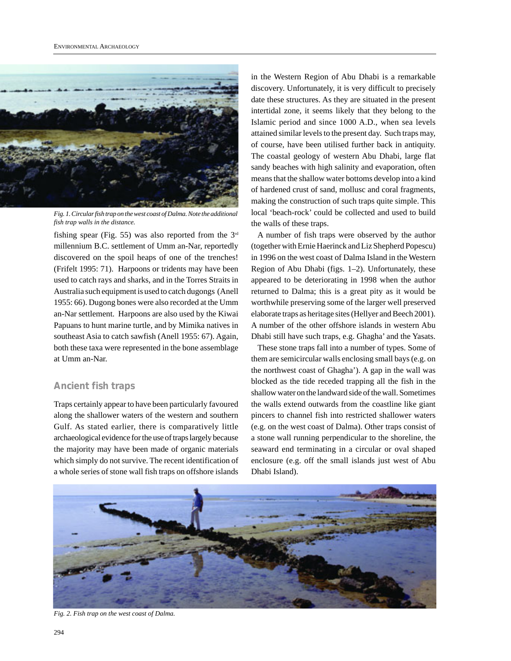<span id="page-10-0"></span>

*Fig. 1. Circular fish trap on the west coast of Dalma. Note the additional fish trap walls in the distance.*

fishing spear (Fig. 55) was also reported from the  $3<sup>rd</sup>$ millennium B.C. settlement of Umm an-Nar, reportedly discovered on the spoil heaps of one of the trenches! (Frifelt 1995: 71). Harpoons or tridents may have been used to catch rays and sharks, and in the Torres Straits in Australia such equipment is used to catch dugongs (Anell 1955: 66). Dugong bones were also recorded at the Umm an-Nar settlement. Harpoons are also used by the Kiwai Papuans to hunt marine turtle, and by Mimika natives in southeast Asia to catch sawfish (Anell 1955: 67). Again, both these taxa were represented in the bone assemblage at Umm an-Nar.

# **Ancient fish traps**

Traps certainly appear to have been particularly favoured along the shallower waters of the western and southern Gulf. As stated earlier, there is comparatively little archaeological evidence for the use of traps largely because the majority may have been made of organic materials which simply do not survive. The recent identification of a whole series of stone wall fish traps on offshore islands

in the Western Region of Abu Dhabi is a remarkable discovery. Unfortunately, it is very difficult to precisely date these structures. As they are situated in the present intertidal zone, it seems likely that they belong to the Islamic period and since 1000 A.D., when sea levels attained similar levels to the present day. Such traps may, of course, have been utilised further back in antiquity. The coastal geology of western Abu Dhabi, large flat sandy beaches with high salinity and evaporation, often means that the shallow water bottoms develop into a kind of hardened crust of sand, mollusc and coral fragments, making the construction of such traps quite simple. This local 'beach-rock' could be collected and used to build the walls of these traps.

A number of fish traps were observed by the author (together with Ernie Haerinck and Liz Shepherd Popescu) in 1996 on the west coast of Dalma Island in the Western Region of Abu Dhabi (figs. 1–2). Unfortunately, these appeared to be deteriorating in 1998 when the author returned to Dalma; this is a great pity as it would be worthwhile preserving some of the larger well preserved elaborate traps as heritage sites (Hellyer and Beech 2001). A number of the other offshore islands in western Abu Dhabi still have such traps, e.g. Ghagha' and the Yasats.

These stone traps fall into a number of types. Some of them are semicircular walls enclosing small bays (e.g. on the northwest coast of Ghagha'). A gap in the wall was blocked as the tide receded trapping all the fish in the shallow water on the landward side of the wall. Sometimes the walls extend outwards from the coastline like giant pincers to channel fish into restricted shallower waters (e.g. on the west coast of Dalma). Other traps consist of a stone wall running perpendicular to the shoreline, the seaward end terminating in a circular or oval shaped enclosure (e.g. off the small islands just west of Abu Dhabi Island).



*Fig. 2. Fish trap on the west coast of Dalma.*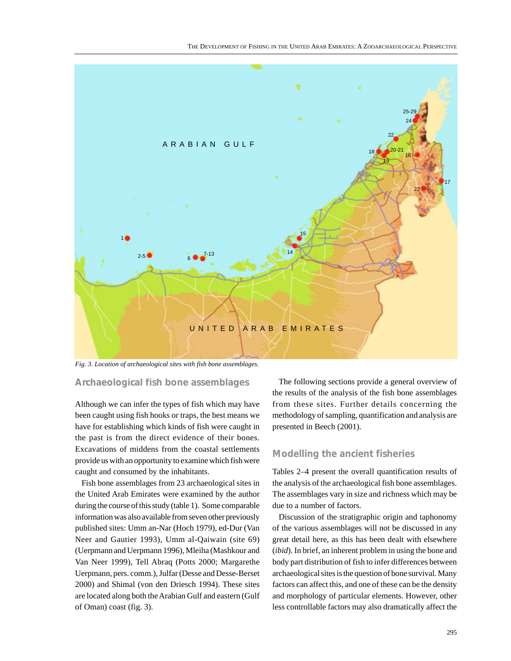

*Fig. 3. Location of archaeological sites with fish bone assemblages.*

### **Archaeological fish bone assemblages**

Although we can infer the types of fish which may have been caught using fish hooks or traps, the best means we have for establishing which kinds of fish were caught in the past is from the direct evidence of their bones. Excavations of middens from the coastal settlements provide us with an opportunity to examine which fish were caught and consumed by the inhabitants.

Fish bone assemblages from 23 archaeological sites in the United Arab Emirates were examined by the author during the course of this study (table 1). Some comparable information was also available from seven other previously published sites: Umm an-Nar (Hoch 1979), ed-Dur (Van Neer and Gautier 1993), Umm al-Qaiwain (site 69) (Uerpmann and Uerpmann 1996), Mleiha (Mashkour and Van Neer 1999), Tell Abraq (Potts 2000; Margarethe Uerpmann, pers. comm.), Julfar (Desse and Desse-Berset 2000) and Shimal (von den Driesch 1994). These sites are located along both the Arabian Gulf and eastern (Gulf of Oman) coast (fig. 3).

The following sections provide a general overview of the results of the analysis of the fish bone assemblages from these sites. Further details concerning the methodology of sampling, quantification and analysis are presented in Beech (2001).

# **Modelling the ancient fisheries**

Tables 2–4 present the overall quantification results of the analysis of the archaeological fish bone assemblages. The assemblages vary in size and richness which may be due to a number of factors.

Discussion of the stratigraphic origin and taphonomy of the various assemblages will not be discussed in any great detail here, as this has been dealt with elsewhere (*ibid*). In brief, an inherent problem in using the bone and body part distribution of fish to infer differences between archaeological sites is the question of bone survival. Many factors can affect this, and one of these can be the density and morphology of particular elements. However, other less controllable factors may also dramatically affect the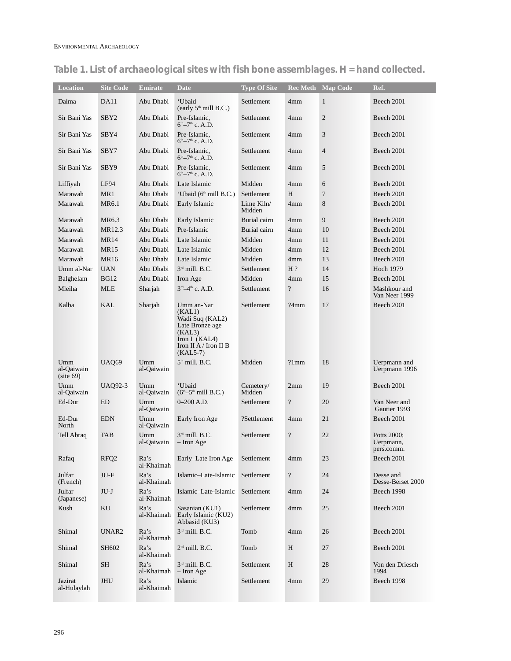| <b>Location</b>                  | <b>Site Code</b> | <b>Emirate</b>                | <b>Date</b>                                                                                                                  | <b>Type Of Site</b>  | <b>Rec Meth</b>  | <b>Map Code</b> | Ref.                                   |
|----------------------------------|------------------|-------------------------------|------------------------------------------------------------------------------------------------------------------------------|----------------------|------------------|-----------------|----------------------------------------|
| Dalma                            | DA11             | Abu Dhabi                     | 'Ubaid<br>(early 5 <sup>th</sup> mill B.C.)                                                                                  | Settlement           | 4mm              | $\mathbf{1}$    | Beech 2001                             |
| Sir Bani Yas                     | SBY <sub>2</sub> | Abu Dhabi                     | Pre-Islamic,<br>$6th-7th$ c. A.D.                                                                                            | Settlement           | 4mm              | $\overline{c}$  | Beech 2001                             |
| Sir Bani Yas                     | SBY4             | Abu Dhabi                     | Pre-Islamic,<br>$6th-7th$ c. A.D.                                                                                            | Settlement           | 4mm              | 3               | Beech 2001                             |
| Sir Bani Yas                     | SBY7             | Abu Dhabi                     | Pre-Islamic,<br>$6th-7th$ c. A.D.                                                                                            | Settlement           | 4 <sub>mm</sub>  | $\overline{4}$  | Beech 2001                             |
| Sir Bani Yas                     | SBY9             | Abu Dhabi                     | Pre-Islamic,<br>$6th-7th$ c. A.D.                                                                                            | Settlement           | 4mm              | 5               | Beech 2001                             |
| Liffiyah                         | LF94             | Abu Dhabi                     | Late Islamic                                                                                                                 | Midden               | 4 <sub>mm</sub>  | 6               | Beech 2001                             |
| Marawah                          | MR1              | Abu Dhabi                     | 'Ubaid (6 <sup>th</sup> mill B.C.)                                                                                           | Settlement           | H                | 7               | Beech 2001                             |
| Marawah                          | MR6.1            | Abu Dhabi                     | Early Islamic                                                                                                                | Lime Kiln/<br>Midden | 4mm              | 8               | Beech 2001                             |
| Marawah                          | MR6.3            | Abu Dhabi                     | Early Islamic                                                                                                                | Burial cairn         | 4mm              | 9               | Beech 2001                             |
| Marawah                          | MR12.3           | Abu Dhabi                     | Pre-Islamic                                                                                                                  | Burial cairn         | 4 <sub>mm</sub>  | 10              | Beech 2001                             |
| Marawah                          | <b>MR14</b>      | Abu Dhabi                     | Late Islamic                                                                                                                 | Midden               | 4mm              | 11              | Beech 2001                             |
| Marawah                          | <b>MR15</b>      | Abu Dhabi                     | Late Islamic                                                                                                                 | Midden               | 4mm              | 12              | Beech 2001                             |
| Marawah                          | <b>MR16</b>      | Abu Dhabi                     | Late Islamic                                                                                                                 | Midden               | 4 <sub>mm</sub>  | 13              | Beech 2001                             |
| Umm al-Nar                       | <b>UAN</b>       | Abu Dhabi                     | 3rd mill. B.C.                                                                                                               | Settlement           | $H$ ?            | 14              | <b>Hoch 1979</b>                       |
| Balghelam                        | <b>BG12</b>      | Abu Dhabi                     | Iron Age                                                                                                                     | Midden               | 4mm              | 15              | Beech 2001                             |
| Mleiha                           | <b>MLE</b>       | Sharjah                       | 3rd-4th c. A.D.                                                                                                              | Settlement           | $\ddot{?}$       | 16              | Mashkour and<br>Van Neer 1999          |
| Kalba                            | <b>KAL</b>       | Sharjah                       | Umm an-Nar<br>(KAL1)<br>Wadi Suq (KAL2)<br>Late Bronze age<br>(KAL3)<br>Iron I (KAL4)<br>Iron II A / Iron II B<br>$(KAL5-7)$ | Settlement           | ?4mm             | 17              | Beech 2001                             |
| Umm<br>al-Qaiwain<br>(site 69)   | <b>UAO69</b>     | Umm<br>al-Qaiwain             | 5 <sup>th</sup> mill. B.C.                                                                                                   | Midden               | ?1mm             | 18              | Uerpmann and<br>Uerpmann 1996          |
| U <sub>mm</sub><br>al-Qaiwain    | <b>UAQ92-3</b>   | Umm<br>al-Qaiwain             | 'Ubaid<br>$(6th-5th$ mill B.C.)                                                                                              | Cemetery/<br>Midden  | 2mm              | 19              | Beech 2001                             |
| Ed-Dur                           | <b>ED</b>        | Umm<br>al-Qaiwain             | $0 - 200$ A.D.                                                                                                               | Settlement           | $\ddot{?}$       | 20              | Van Neer and<br>Gautier 1993           |
| $\operatorname{Ed-Dur}$<br>North | <b>EDN</b>       | U <sub>mm</sub><br>al-Qaiwain | Early Iron Age                                                                                                               | ?Settlement          | 4mm              | $21\,$          | Beech 2001                             |
| Tell Abraq                       | <b>TAB</b>       | Umm<br>al-Qaiwain             | $3rd$ mill. B.C.<br>- Iron Age                                                                                               | Settlement           | $\boldsymbol{?}$ | 22              | Potts 2000:<br>Uerpmann,<br>pers.comm. |
| Rafaq                            | RFQ <sub>2</sub> | Ra's<br>al-Khaimah            | Early-Late Iron Age                                                                                                          | Settlement           | 4 <sub>mm</sub>  | 23              | Beech 2001                             |
| Julfar<br>(French)               | JU-F             | Ra's<br>al-Khaimah            | Islamic-Late-Islamic                                                                                                         | Settlement           | $\boldsymbol{?}$ | 24              | Desse and<br>Desse-Berset 2000         |
| Julfar<br>(Japanese)             | $JU-J$           | Ra's<br>al-Khaimah            | Islamic-Late-Islamic                                                                                                         | Settlement           | 4mm              | 24              | Beech 1998                             |
| Kush                             | KU               | Ra's<br>al-Khaimah            | Sasanian (KU1)<br>Early Islamic (KU2)<br>Abbasid (KU3)                                                                       | Settlement           | 4 <sub>mm</sub>  | 25              | Beech 2001                             |
| Shimal                           | UNAR2            | Ra's<br>al-Khaimah            | $3rd$ mill. B.C.                                                                                                             | Tomb                 | 4 <sub>mm</sub>  | 26              | Beech 2001                             |
| Shimal                           | SH602            | Ra's<br>al-Khaimah            | $2nd$ mill. B.C.                                                                                                             | Tomb                 | H                | 27              | Beech 2001                             |
| Shimal                           | <b>SH</b>        | Ra's<br>al-Khaimah            | 3rd mill. B.C.<br>$-$ Iron Age                                                                                               | Settlement           | H                | 28              | Von den Driesch<br>1994                |
| Jazirat<br>al-Hulaylah           | JHU              | Ra's<br>al-Khaimah            | Islamic                                                                                                                      | Settlement           | 4mm              | 29              | Beech 1998                             |

# **Table 1. List of archaeological sites with fish bone assemblages. H = hand collected.**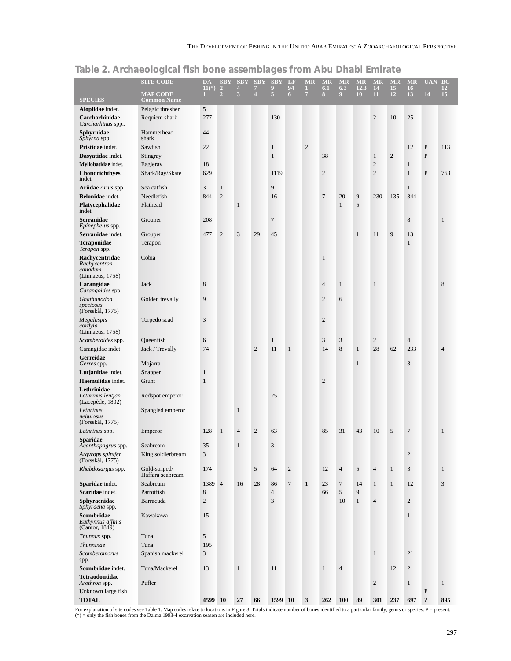|                                                               | <b>SITE CODE</b>                  | DA<br>$11(*)$  | <b>SBY</b><br>$\overline{2}$ | <b>SBY</b><br>$\overline{\mathbf{4}}$ | <b>SBY</b><br>7 | <b>SBY</b><br>9 | LF<br>94         | <b>MR</b><br>$\mathbf{1}$ | <b>MR</b><br>6.1 | <b>MR</b><br>6.3 | <b>MR</b><br>12.3 | <b>MR</b><br>14 | <b>MR</b><br>15 | <b>MR</b><br>16 | <b>UAN</b> | <b>BG</b><br><b>12</b> |
|---------------------------------------------------------------|-----------------------------------|----------------|------------------------------|---------------------------------------|-----------------|-----------------|------------------|---------------------------|------------------|------------------|-------------------|-----------------|-----------------|-----------------|------------|------------------------|
| <b>SPECIES</b>                                                | <b>MAP CODE</b><br>Common Name    | ī.             | $\overline{2}$               | 3                                     | 4               | $\overline{5}$  | 6                | $\overline{7}$            | 8                | 9                | 10                | $\overline{11}$ | 12              | 13              | 14         | 15                     |
| Alopiidae indet.                                              | Pelagic thresher                  | 5              |                              |                                       |                 |                 |                  |                           |                  |                  |                   |                 |                 |                 |            |                        |
| Carcharhinidae<br>Carcharhinus spp                            | Requiem shark                     | 277            |                              |                                       |                 | 130             |                  |                           |                  |                  |                   | $\overline{2}$  | 10              | 25              |            |                        |
| Sphyrnidae<br>Sphyrna spp.                                    | Hammerhead<br>shark               | 44             |                              |                                       |                 |                 |                  |                           |                  |                  |                   |                 |                 |                 |            |                        |
| Pristidae indet.                                              | Sawfish                           | 22             |                              |                                       |                 | $\mathbf{1}$    |                  | $\overline{2}$            |                  |                  |                   |                 |                 | 12              | ${\bf P}$  | 113                    |
| Dasyatidae indet.                                             | Stingray                          |                |                              |                                       |                 | $\mathbf{1}$    |                  |                           | 38               |                  |                   | $\mathbf{1}$    | $\sqrt{2}$      |                 | ${\bf P}$  |                        |
| Myliobatidae indet.                                           | Eagleray                          | 18             |                              |                                       |                 |                 |                  |                           |                  |                  |                   | $\overline{2}$  |                 | $\mathbf{1}$    |            |                        |
| Chondrichthyes<br>indet.                                      | Shark/Ray/Skate                   | 629            |                              |                                       |                 | 1119            |                  |                           | $\overline{c}$   |                  |                   | $\overline{2}$  |                 | $\mathbf{1}$    | ${\bf P}$  | 763                    |
| Ariidae Arius spp.                                            | Sea catfish                       | 3              | $\mathbf{1}$                 |                                       |                 | 9               |                  |                           |                  |                  |                   |                 |                 | $\mathbf{1}$    |            |                        |
| Belonidae indet.                                              | Needlefish                        | 844            | $\overline{2}$               |                                       |                 | 16              |                  |                           | $\tau$           | 20               | 9                 | 230             | 135             | 344             |            |                        |
| Platycephalidae<br>indet.                                     | Flathead                          |                |                              | 1                                     |                 |                 |                  |                           |                  | $\mathbf{1}$     | 5                 |                 |                 |                 |            |                        |
| <b>Serranidae</b><br>Epinephelus spp.                         | Grouper                           | 208            |                              |                                       |                 | $\overline{7}$  |                  |                           |                  |                  |                   |                 |                 | 8               |            | $\mathbf{1}$           |
| Serranidae indet.                                             | Grouper                           | 477            | $\overline{2}$               | 3                                     | 29              | 45              |                  |                           |                  |                  | $\mathbf{1}$      | 11              | 9               | 13              |            |                        |
| <b>Teraponidae</b><br>Terapon spp.                            | Terapon                           |                |                              |                                       |                 |                 |                  |                           |                  |                  |                   |                 |                 | $\mathbf{1}$    |            |                        |
| Rachycentridae<br>Rachycentron<br>canadum<br>(Linnaeus, 1758) | Cobia                             |                |                              |                                       |                 |                 |                  |                           | $\mathbf{1}$     |                  |                   |                 |                 |                 |            |                        |
| Carangidae<br>Carangoides spp.                                | Jack                              | 8              |                              |                                       |                 |                 |                  |                           | $\overline{4}$   | $\mathbf{1}$     |                   | $\mathbf{1}$    |                 |                 |            | 8                      |
| Gnathanodon<br>speciosus<br>(Forsskål, 1775)                  | Golden trevally                   | 9              |                              |                                       |                 |                 |                  |                           | $\overline{2}$   | 6                |                   |                 |                 |                 |            |                        |
| Megalaspis<br>cordyla<br>(Linnaeus, 1758)                     | Torpedo scad                      | 3              |                              |                                       |                 |                 |                  |                           | $\overline{c}$   |                  |                   |                 |                 |                 |            |                        |
| Scomberoides spp.                                             | Queenfish                         | 6              |                              |                                       |                 | $\mathbf{1}$    |                  |                           | 3                | $\mathfrak{Z}$   |                   | $\overline{c}$  |                 | $\overline{4}$  |            |                        |
| Carangidae indet.                                             | Jack / Trevally                   | 74             |                              |                                       | $\overline{c}$  | 11              | $\mathbf{1}$     |                           | 14               | $\,8\,$          | $\mathbf{1}$      | 28              | 62              | 233             |            | 4                      |
| Gerreidae<br>Gerres spp.                                      | Mojarra                           |                |                              |                                       |                 |                 |                  |                           |                  |                  | $\mathbf{1}$      |                 |                 | 3               |            |                        |
| Lutjanidae indet.                                             | Snapper                           | $\mathbf{1}$   |                              |                                       |                 |                 |                  |                           |                  |                  |                   |                 |                 |                 |            |                        |
| Haemulidae indet.                                             | Grunt                             | $\mathbf{1}$   |                              |                                       |                 |                 |                  |                           | $\overline{c}$   |                  |                   |                 |                 |                 |            |                        |
| Lethrinidae<br>Lethrinus lentjan<br>(Lacepède, 1802)          | Redspot emperor                   |                |                              |                                       |                 | 25              |                  |                           |                  |                  |                   |                 |                 |                 |            |                        |
| Lethrinus<br>nebulosus<br>(Forsskål, 1775)                    | Spangled emperor                  |                |                              | $\mathbf{1}$                          |                 |                 |                  |                           |                  |                  |                   |                 |                 |                 |            |                        |
| Lethrinus spp.                                                | Emperor                           | 128            | $\mathbf{1}$                 | $\overline{4}$                        | $\overline{c}$  | 63              |                  |                           | 85               | 31               | 43                | 10              | 5               | $\overline{7}$  |            | $\mathbf{1}$           |
| <b>Sparidae</b><br>Acanthopagrus spp.                         | Seabream                          | 35             |                              | $\mathbf{1}$                          |                 | 3               |                  |                           |                  |                  |                   |                 |                 |                 |            |                        |
| Argyrops spinifer<br>(Forsskål, 1775)                         | King soldierbream                 | 3              |                              |                                       |                 |                 |                  |                           |                  |                  |                   |                 |                 | $\overline{c}$  |            |                        |
| Rhabdosargus spp.                                             | Gold-striped/<br>Haffara seabream | 174            |                              |                                       | 5               | 64              | $\sqrt{2}$       |                           | 12               | $\overline{4}$   | 5                 | $\overline{4}$  | $\mathbf{1}$    | 3               |            | $\mathbf{1}$           |
| Sparidae indet.                                               | Seabream                          | 1389 4         |                              | 16                                    | 28              | 86              | $\boldsymbol{7}$ | $\mathbf{1}$              | 23               | $\overline{7}$   | 14                | $\mathbf{1}$    | $\mathbf{1}$    | 12              |            | 3                      |
| Scaridae indet.                                               | Parrotfish                        | 8              |                              |                                       |                 | $\overline{4}$  |                  |                           | 66               | $\mathfrak{S}$   | 9                 |                 |                 |                 |            |                        |
| Sphyraenidae<br>Sphyraena spp.                                | Barracuda                         | $\overline{c}$ |                              |                                       |                 | 3               |                  |                           |                  | 10               | $\mathbf{1}$      | $\overline{4}$  |                 | $\overline{c}$  |            |                        |
| Scombridae<br>Euthynnus affinis<br>(Cantor, 1849)             | Kawakawa                          | 15             |                              |                                       |                 |                 |                  |                           |                  |                  |                   |                 |                 | $\mathbf{1}$    |            |                        |
| Thunnus spp.                                                  | Tuna                              | 5              |                              |                                       |                 |                 |                  |                           |                  |                  |                   |                 |                 |                 |            |                        |
| Thunninae                                                     | Tuna                              | 195            |                              |                                       |                 |                 |                  |                           |                  |                  |                   |                 |                 |                 |            |                        |
| Scomberomorus<br>spp.                                         | Spanish mackerel                  | 3              |                              |                                       |                 |                 |                  |                           |                  |                  |                   | $\mathbf{1}$    |                 | 21              |            |                        |
| Scombridae indet.                                             | Tuna/Mackerel                     | 13             |                              | $\mathbf{1}$                          |                 | 11              |                  |                           | $\mathbf{1}$     | $\overline{4}$   |                   |                 | 12              | $\overline{c}$  |            |                        |
| Tetraodontidae<br>Arothron spp.                               | Puffer                            |                |                              |                                       |                 |                 |                  |                           |                  |                  |                   | $\overline{2}$  |                 | $\mathbf{1}$    |            | $\mathbf{1}$           |
| Unknown large fish                                            |                                   |                |                              |                                       |                 |                 |                  |                           |                  |                  |                   |                 |                 |                 | ${\bf P}$  |                        |
| <b>TOTAL</b>                                                  |                                   | 4599 10        |                              | 27                                    | 66              | 1599 10         |                  | 3                         | 262              | <b>100</b>       | 89                | 301             | 237             | 697             | $\ddot{.}$ | 895                    |

# **Table 2. Archaeological fish bone assemblages from Abu Dhabi Emirate**

For explanation of site codes see Table 1. Map codes relate to locations in Figure 3. Totals indicate number of bones identified to a particular family, genus or species. P = present.  $(*)$  = only the fish bones from the Dalma 1993-4 excavation season are included here.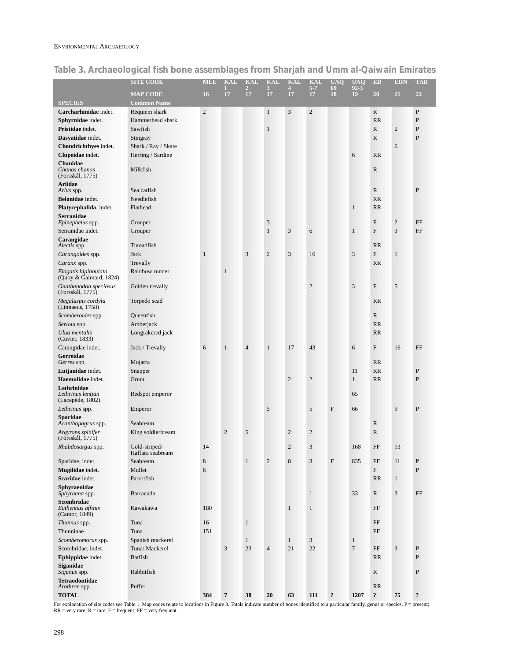|                                                      | <b>SITE CODE</b>                  | <b>MLE</b>     | <b>KAL</b>     | <b>KAL</b>           | <b>KAL</b>       | <b>KAL</b>              | <b>KAL</b>     | <b>UAO</b>                | <b>UAQ</b>     | ED                        | <b>EDN</b>              | <b>TAB</b>        |
|------------------------------------------------------|-----------------------------------|----------------|----------------|----------------------|------------------|-------------------------|----------------|---------------------------|----------------|---------------------------|-------------------------|-------------------|
|                                                      | <b>MAP CODE</b>                   | 16             | 17             | $\overline{2}$<br>17 | 3<br>17          | $\overline{4}$<br>17    | $5 - 7$<br>17  | 69<br>18                  | $92 - 3$<br>19 | 20                        | 21                      | 22                |
| <b>SPECIES</b>                                       | <b>Common Name</b>                |                |                |                      |                  |                         |                |                           |                |                           |                         |                   |
| Carcharhinidae indet.                                | Requiem shark                     | $\overline{c}$ |                |                      | $\mathbf{1}$     | $\mathfrak{Z}$          | $\sqrt{2}$     |                           |                | R                         |                         | $\mathbf{P}$      |
| Sphyrnidae indet.                                    | Hammerhead shark                  |                |                |                      |                  |                         |                |                           |                | <b>RR</b>                 |                         | P                 |
| Pristidae indet.                                     | Sawfish                           |                |                |                      | $\mathbf{1}$     |                         |                |                           |                | $\mathbb{R}$              | $\mathbf{2}$            | $\mathbf{P}$      |
| Dasyatidae indet.                                    | Stingray                          |                |                |                      |                  |                         |                |                           |                | $\mathbb{R}$              |                         | $\mathbf{P}$      |
| Chondrichthyes indet.                                | Shark / Ray / Skate               |                |                |                      |                  |                         |                |                           |                |                           | 6                       |                   |
| Clupeidae indet.                                     | Herring / Sardine                 |                |                |                      |                  |                         |                |                           | 6              | RR                        |                         |                   |
| <b>Chanidae</b><br>Chanos chanos<br>(Forsskål, 1775) | Milkfish                          |                |                |                      |                  |                         |                |                           |                | R                         |                         |                   |
| <b>Ariidae</b>                                       |                                   |                |                |                      |                  |                         |                |                           |                |                           |                         |                   |
| Arius spp.                                           | Sea catfish                       |                |                |                      |                  |                         |                |                           |                | $\mathbb{R}$              |                         | P                 |
| Belonidae indet.                                     | Needlefish                        |                |                |                      |                  |                         |                |                           |                | RR                        |                         |                   |
| Platycephalida, indet.                               | Flathead                          |                |                |                      |                  |                         |                |                           | $\mathbf{1}$   | <b>RR</b>                 |                         |                   |
| <b>Serranidae</b><br>Epinephelus spp.                | Grouper                           |                |                |                      | 3                |                         |                |                           |                | F                         | $\overline{\mathbf{c}}$ | FF                |
| Serranidae indet.                                    | Grouper                           |                |                |                      | $\mathbf{1}$     | 3                       | 6              |                           | $\mathbf{1}$   | ${\bf F}$                 | 3                       | FF                |
| Carangidae<br>Alectis spp.                           | Threadfish                        |                |                |                      |                  |                         |                |                           |                | <b>RR</b>                 |                         |                   |
| Carangoides spp.                                     | Jack                              | $\mathbf{1}$   |                | 3                    | $\overline{c}$   | $\mathfrak 3$           | 16             |                           | 3              | $\mathbf{F}$              | $\mathbf{1}$            |                   |
| Caranx spp.                                          | Trevally                          |                |                |                      |                  |                         |                |                           |                | <b>RR</b>                 |                         |                   |
| Elagatis bipinnulata<br>(Quoy & Gaimard, 1824)       | Rainbow runner                    |                | $\mathbf{1}$   |                      |                  |                         |                |                           |                |                           |                         |                   |
| Gnathanodon speciosus<br>(Forsskål, 1775)            | Golden trevally                   |                |                |                      |                  |                         | $\overline{c}$ |                           | 3              | $\boldsymbol{\mathrm{F}}$ | 5                       |                   |
| Megalaspis cordyla<br>(Linnaeus, 1758)               | Torpedo scad                      |                |                |                      |                  |                         |                |                           |                | <b>RR</b>                 |                         |                   |
| Scomberoides spp.                                    | Queenfish                         |                |                |                      |                  |                         |                |                           |                | $\mathbb{R}$              |                         |                   |
| Seriola spp.                                         | Amberjack                         |                |                |                      |                  |                         |                |                           |                | RR                        |                         |                   |
| Ulua mentalis<br>(Cuvier, 1833)                      | Longrakered jack                  |                |                |                      |                  |                         |                |                           |                | <b>RR</b>                 |                         |                   |
| Carangidae indet.                                    | Jack / Trevally                   | 6              | $\mathbf{1}$   | $\overline{4}$       | $\mathbf{1}$     | 17                      | 43             |                           | 6              | F                         | 16                      | FF                |
| Gerreidae                                            |                                   |                |                |                      |                  |                         |                |                           |                |                           |                         |                   |
| Gerres spp.                                          | Mojarra                           |                |                |                      |                  |                         |                |                           |                | <b>RR</b>                 |                         |                   |
| Lutjanidae indet.<br>Haemulidae indet.               | Snapper                           |                |                |                      |                  |                         |                |                           | 11             | RR                        |                         | P<br>$\mathbf{P}$ |
| Lethrinidae                                          | Grunt                             |                |                |                      |                  | $\mathbf{2}$            | $\overline{2}$ |                           | $\mathbf{1}$   | RR                        |                         |                   |
| Lethrinus lentjan<br>(Lacepède, 1802)                | Redspot emperor                   |                |                |                      |                  |                         |                |                           | 65             |                           |                         |                   |
| Lethrinus spp.                                       | Emperor                           |                |                |                      | 5                |                         | 5              | ${\rm F}$                 | 66             |                           | 9                       | P                 |
| <b>Sparidae</b><br>Acanthopagrus spp.                | Seabream                          |                |                |                      |                  |                         |                |                           |                | ${\mathbb R}$             |                         |                   |
| Argyrops spinifer<br>(Forsskål, 1775)                | King soldierbream                 |                | $\sqrt{2}$     | 5                    |                  | $\overline{\mathbf{c}}$ | $\overline{c}$ |                           |                | $\mathbb{R}$              |                         |                   |
| Rhabdosargus spp.                                    | Gold-striped/<br>Haffara seabream | 14             |                |                      |                  | $\sqrt{2}$              | 3              |                           | 168            | FF                        | 13                      |                   |
| Sparidae, indet.                                     | Seabream                          | 8              |                | $\mathbf{1}$         | $\boldsymbol{2}$ | $\,8\,$                 | 3              | $\boldsymbol{\mathrm{F}}$ | 835            | FF                        | 11                      | $\mathbf{P}$      |
| Mugilidae indet.                                     | Mullet                            | 6              |                |                      |                  |                         |                |                           |                | $\boldsymbol{\mathrm{F}}$ |                         | $\mathbf{P}$      |
| Scaridae indet.                                      | Parrotfish                        |                |                |                      |                  |                         |                |                           |                | RR                        | $\mathbf{1}$            |                   |
| Sphyraenidae<br>Sphyraena spp.                       | Barracuda                         |                |                |                      |                  |                         | $\mathbf{1}$   |                           | 33             | R                         | 3                       | FF                |
| Scombridae<br>Euthynnus affinis<br>(Cantor, 1849)    | Kawakawa                          | 180            |                |                      |                  | $\mathbf{1}$            | $\mathbf{1}$   |                           |                | FF                        |                         |                   |
| Thunnus spp.                                         | Tuna                              | 16             |                | $\mathbf{1}$         |                  |                         |                |                           |                | FF                        |                         |                   |
| Thunninae                                            | Tuna                              | 151            |                |                      |                  |                         |                |                           |                | FF                        |                         |                   |
| Scomberomorus spp.                                   | Spanish mackerel                  |                |                | $\mathbf{1}$         |                  | $\mathbf{1}$            | 3              |                           | $\mathbf{1}$   |                           |                         |                   |
| Scombridae, indet.                                   | Tuna/ Mackerel                    |                | $\mathfrak{Z}$ | 23                   | $\overline{4}$   | 21                      | 22             |                           | $\overline{7}$ | FF                        | 3                       | $\mathbf{P}$      |
| Ephippidae indet.                                    | <b>Batfish</b>                    |                |                |                      |                  |                         |                |                           |                | RR                        |                         | $\mathbf{P}$      |
| <b>Siganidae</b><br>Siganus spp.                     | Rabbitfish                        |                |                |                      |                  |                         |                |                           |                | $\mathbb{R}$              |                         | P                 |
| <b>Tetraodontidae</b><br>Arothron spp.               | Puffer                            |                |                |                      |                  |                         |                |                           |                | RR                        |                         |                   |
| $\bf TOTAL$                                          |                                   | 384            | $\overline{7}$ | 38                   | ${\bf 20}$       | 63                      | 111            | $\ddot{\cdot}$            | 1207           | $\ddot{\mathbf{?}}$       | $75\,$                  | $\ddot{\cdot}$    |

# <span id="page-14-0"></span>**Table 3. Archaeological fish bone assemblages from Sharjah and Umm al-Qaiwain Emirates**

For explanation of site codes see Table 1. Map codes relate to locations in Figure 3. Totals indicate number of bones identified to a particular family, genus or species. P = present;  $RR = very rare; R = rare; F = frequent; FF = very frequent.$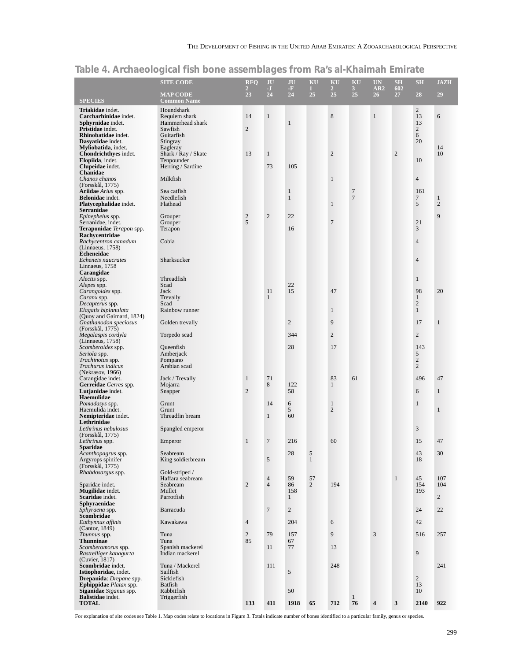|                                                             | <b>SITE CODE</b>                      | <b>RFO</b><br>$\overline{2}$ | JU<br>$\mathbf{J}$               | JU<br>$-\mathbf{F}$          | KU<br>1.             | KU<br>$\overline{2}$ | KU<br>3 <sup>1</sup>             | <b>UN</b><br>AR2 | <b>SH</b><br>602 | <b>SH</b>                      | <b>JAZH</b>                    |
|-------------------------------------------------------------|---------------------------------------|------------------------------|----------------------------------|------------------------------|----------------------|----------------------|----------------------------------|------------------|------------------|--------------------------------|--------------------------------|
| <b>SPECIES</b>                                              | <b>MAP CODE</b><br><b>Common Name</b> | 23                           | 24                               | 24                           | 25                   | 25                   | 25                               | 26 <sup>2</sup>  | 27               | 28                             | 29                             |
| Triakidae indet.                                            | Houndshark                            |                              |                                  |                              |                      |                      |                                  |                  |                  | $\overline{2}$                 |                                |
| Carcharhinidae indet.<br>Sphyrnidae indet.                  | Requiem shark<br>Hammerhead shark     | 14                           | $\mathbf{1}$                     | $\mathbf{1}$                 |                      | 8                    |                                  | $\mathbf{1}$     |                  | 13<br>13                       | 6                              |
| Pristidae indet.                                            | Sawfish                               | $\overline{2}$               |                                  |                              |                      |                      |                                  |                  |                  | $\overline{c}$                 |                                |
| Rhinobatidae indet.<br>Dasyatidae indet.                    | Guitarfish<br>Stingray                |                              |                                  |                              |                      |                      |                                  |                  |                  | 6<br>20                        |                                |
| Myliobatida, indet.                                         | Eagleray                              |                              |                                  |                              |                      |                      |                                  |                  |                  |                                | 14<br>10                       |
| Chondrichthyes indet.<br>Elopiida, indet.                   | Shark / Ray / Skate<br>Tenpounder     | 13                           | $\mathbf{1}$                     |                              |                      | $\sqrt{2}$           |                                  |                  | $\overline{2}$   | 10                             |                                |
| Clupeidae indet.<br>Chanidae                                | Herring / Sardine                     |                              | 73                               | 105                          |                      |                      |                                  |                  |                  |                                |                                |
| Chanos chanos<br>(Forsskål, 1775)                           | Milkfish                              |                              |                                  |                              |                      | $\mathbf{1}$         |                                  |                  |                  | $\overline{4}$                 |                                |
| <b>Ariidae</b> <i>Arius</i> spp.<br><b>Belonidae</b> indet. | Sea catfish<br>Needlefish             |                              |                                  | $\mathbf{1}$<br>$\mathbf{1}$ |                      |                      | $\overline{7}$<br>$\overline{7}$ |                  |                  | 161<br>7                       |                                |
| Platycephalidae indet.<br>Serranidae                        | Flathead                              |                              |                                  |                              |                      | $\mathbf{1}$         |                                  |                  |                  | 5                              | $\mathbf{1}$<br>$\overline{2}$ |
| Epinephelus spp.                                            | Grouper                               | $\overline{c}$               | $\mathfrak{2}$                   | 22                           |                      |                      |                                  |                  |                  |                                | 9                              |
| Serranidae, indet.<br><b>Teraponidae</b> Terapon spp.       | Grouper<br>Terapon                    | 5                            |                                  | 16                           |                      | $\overline{7}$       |                                  |                  |                  | 21<br>3                        |                                |
| Rachycentridae                                              |                                       |                              |                                  |                              |                      |                      |                                  |                  |                  |                                |                                |
| Rachycentron canadum<br>(Linnaeus, 1758)                    | Cobia                                 |                              |                                  |                              |                      |                      |                                  |                  |                  | $\overline{4}$                 |                                |
| <b>Echeneidae</b><br>Echeneis naucrates                     | Sharksucker                           |                              |                                  |                              |                      |                      |                                  |                  |                  | $\overline{4}$                 |                                |
| Linnaeus, 1758                                              |                                       |                              |                                  |                              |                      |                      |                                  |                  |                  |                                |                                |
| Carangidae<br>Alectis spp.                                  | Threadfish                            |                              |                                  |                              |                      |                      |                                  |                  |                  | $\mathbf{1}$                   |                                |
| Alepes spp.<br>Carangoides spp.                             | Scad<br>Jack                          |                              | 11                               | 22<br>15                     |                      | 47                   |                                  |                  |                  | 98                             | 20                             |
| Caranx spp.                                                 | Trevally                              |                              | $\mathbf{1}$                     |                              |                      |                      |                                  |                  |                  | $\mathbf{1}$                   |                                |
| Decapterus spp.<br>Elagatis bipinnulata                     | Scad<br>Rainbow runner                |                              |                                  |                              |                      | $\mathbf{1}$         |                                  |                  |                  | $\overline{c}$<br>$\mathbf{1}$ |                                |
| (Quoy and Gaimard, 1824)                                    |                                       |                              |                                  |                              |                      |                      |                                  |                  |                  |                                |                                |
| Gnathanodon speciosus<br>(Forsskål, 1775)                   | Golden trevally                       |                              |                                  | $\overline{c}$               |                      | 9                    |                                  |                  |                  | 17                             | $\mathbf{1}$                   |
| Megalaspis cordyla<br>(Linnaeus, 1758)                      | Torpedo scad                          |                              |                                  | 344                          |                      | $\overline{2}$       |                                  |                  |                  | $\overline{2}$                 |                                |
| Scomberoides spp.<br>Seriola spp.                           | Queenfish<br>Amberjack                |                              |                                  | 28                           |                      | 17                   |                                  |                  |                  | 143<br>5                       |                                |
| <i>Trachinotus</i> spp.                                     | Pompano                               |                              |                                  |                              |                      |                      |                                  |                  |                  | $\sqrt{2}$                     |                                |
| Trachurus indicus<br>(Nekrasov, 1966)                       | Arabian scad                          |                              |                                  |                              |                      |                      |                                  |                  |                  | $\overline{2}$                 |                                |
| Carangidae indet.<br>Gerreidae Gerres spp.                  | Jack / Trevally<br>Mojarra            | $\mathbf{1}$                 | 71<br>8                          | 122                          |                      | 83<br>$\mathbf{1}$   | 61                               |                  |                  | 496                            | 47                             |
| Lutjanidae indet.                                           | Snapper                               | $\overline{2}$               |                                  | 58                           |                      |                      |                                  |                  |                  | 6                              | $\mathbf{1}$                   |
| Haemulidae<br>Pomadasys spp.                                | Grunt                                 |                              | 14                               | 6                            |                      | $\mathbf{1}$         |                                  |                  |                  | $\mathbf{1}$                   |                                |
| Haemulida indet.                                            | Grunt                                 |                              |                                  | 5                            |                      | $\overline{2}$       |                                  |                  |                  |                                | $\mathbf{1}$                   |
| Nemipteridae indet.<br>Lethrinidae                          | Threadfin bream                       |                              | $\mathbf{1}$                     | 60                           |                      |                      |                                  |                  |                  |                                |                                |
| Lethrinus nebulosus                                         | Spangled emperor                      |                              |                                  |                              |                      |                      |                                  |                  |                  | $\mathfrak{Z}$                 |                                |
| (Forsskål, 1775)<br>Lethrinus spp.                          | Emperor                               | $\mathbf{1}$                 | $\overline{7}$                   | 216                          |                      | 60                   |                                  |                  |                  | 15                             | 47                             |
| <b>Sparidae</b><br>Acanthopagrus spp.                       | Seabream                              |                              |                                  | 28                           | 5                    |                      |                                  |                  |                  | 43                             | 30                             |
| Argyrops spinifer                                           | King soldierbream                     |                              | 5                                |                              | $\mathbf{1}$         |                      |                                  |                  |                  | 18                             |                                |
| (Forsskål, 1775)<br>Rhabdosargus spp.                       | Gold-striped /                        |                              |                                  |                              |                      |                      |                                  |                  |                  |                                |                                |
|                                                             | Haffara seabream<br>Seabream          | $\overline{2}$               | $\overline{4}$<br>$\overline{4}$ | 59<br>86                     | 57<br>$\overline{2}$ | 194                  |                                  |                  | $\mathbf{1}$     | 45<br>154                      | 107<br>104                     |
| Sparidae indet.<br><b>Mugilidae</b> indet.                  | Mullet                                |                              |                                  | 158                          |                      |                      |                                  |                  |                  | 193                            |                                |
| Scaridae indet.<br>Sphyraenidae                             | Parrotfish                            |                              |                                  | $\mathbf{1}$                 |                      |                      |                                  |                  |                  |                                | $\overline{2}$                 |
| Sphyraena spp.<br>Scombridae                                | Barracuda                             |                              | $\overline{7}$                   | $\overline{c}$               |                      |                      |                                  |                  |                  | 24                             | 22                             |
| Euthynnus affinis<br>(Cantor, 1849)                         | Kawakawa                              | $\overline{4}$               |                                  | 204                          |                      | 6                    |                                  |                  |                  | 42                             |                                |
| Thunnus spp.                                                | Tuna                                  | $\overline{c}$               | 79                               | 157                          |                      | 9                    |                                  | 3                |                  | 516                            | 257                            |
| <b>Thunninae</b><br>Scomberomorus spp.                      | Tuna<br>Spanish mackerel              | 85                           | 11                               | 67<br>77                     |                      | 13                   |                                  |                  |                  |                                |                                |
| Rastrelliger kanagurta                                      | Indian mackerel                       |                              |                                  |                              |                      |                      |                                  |                  |                  | 9                              |                                |
| (Cuvier, 1817)<br>Scombridae indet.                         | Tuna / Mackerel                       |                              | 111                              |                              |                      | 248                  |                                  |                  |                  |                                | 241                            |
| Istiophoridae, indet.<br>Drepanida: Drepane spp.            | Sailfish                              |                              |                                  | 5                            |                      |                      |                                  |                  |                  | $\overline{2}$                 |                                |
| <b>Ephippidae</b> <i>Platax</i> spp.                        | Sicklefish<br>Batfish                 |                              |                                  |                              |                      |                      |                                  |                  |                  | 13                             |                                |
| Siganidae Siganus spp.<br><b>Balistidae</b> indet.          | Rabbitfish<br>Triggerfish             |                              |                                  | 50                           |                      |                      | $\mathbf{1}$                     |                  |                  | 10                             |                                |
| <b>TOTAL</b>                                                |                                       | 133                          | 411                              | 1918                         | 65                   | 712                  | 76                               | 4                | $\mathbf{3}$     | 2140                           | 922                            |

# **Table 4. Archaeological fish bone assemblages from Ra's al-Khaimah Emirate**

For explanation of site codes see Table 1. Map codes relate to locations in Figure 3. Totals indicate number of bones identified to a particular family, genus or species.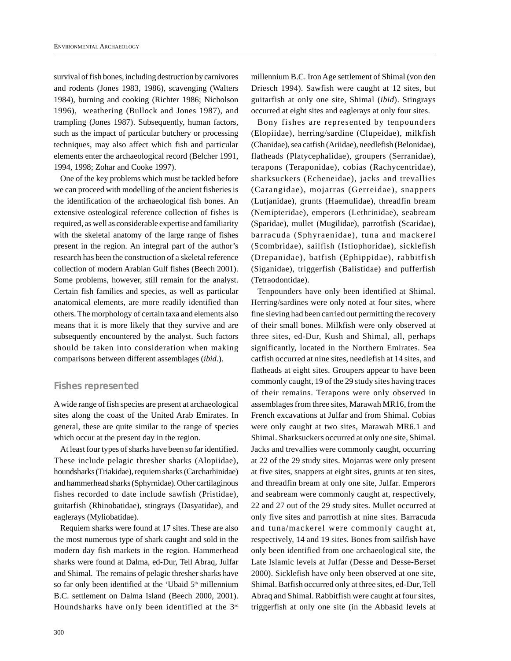<span id="page-16-0"></span>survival of fish bones, including destruction by carnivores and rodents (Jones 1983, 1986), scavenging (Walters 1984), burning and cooking (Richter 1986; Nicholson 1996), weathering (Bullock and Jones 1987), and trampling (Jones 1987). Subsequently, human factors, such as the impact of particular butchery or processing techniques, may also affect which fish and particular elements enter the archaeological record (Belcher 1991, 1994, 1998; Zohar and Cooke 1997).

One of the key problems which must be tackled before we can proceed with modelling of the ancient fisheries is the identification of the archaeological fish bones. An extensive osteological reference collection of fishes is required, as well as considerable expertise and familiarity with the skeletal anatomy of the large range of fishes present in the region. An integral part of the author's research has been the construction of a skeletal reference collection of modern Arabian Gulf fishes (Beech 2001). Some problems, however, still remain for the analyst. Certain fish families and species, as well as particular anatomical elements, are more readily identified than others. The morphology of certain taxa and elements also means that it is more likely that they survive and are subsequently encountered by the analyst. Such factors should be taken into consideration when making comparisons between different assemblages (*ibid*.).

# **Fishes represented**

Awide range of fish species are present at archaeological sites along the coast of the United Arab Emirates. In general, these are quite similar to the range of species which occur at the present day in the region.

At least four types of sharks have been so far identified. These include pelagic thresher sharks (Alopiidae), houndsharks (Triakidae), requiem sharks (Carcharhinidae) and hammerhead sharks (Sphyrnidae). Other cartilaginous fishes recorded to date include sawfish (Pristidae), guitarfish (Rhinobatidae), stingrays (Dasyatidae), and eaglerays (Myliobatidae).

Requiem sharks were found at 17 sites. These are also the most numerous type of shark caught and sold in the modern day fish markets in the region. Hammerhead sharks were found at Dalma, ed-Dur, Tell Abraq, Julfar and Shimal. The remains of pelagic thresher sharks have so far only been identified at the 'Ubaid 5<sup>th</sup> millennium B.C. settlement on Dalma Island (Beech 2000, 2001). Houndsharks have only been identified at the 3rd

millennium B.C. Iron Age settlement of Shimal (von den Driesch 1994). Sawfish were caught at 12 sites, but guitarfish at only one site, Shimal (*ibid*). Stingrays occurred at eight sites and eaglerays at only four sites.

Bony fishes are represented by tenpounders (Elopiidae), herring/sardine (Clupeidae), milkfish (Chanidae), sea catfish (Ariidae), needlefish (Belonidae), flatheads (Platycephalidae), groupers (Serranidae), terapons (Teraponidae), cobias (Rachycentridae), sharksuckers (Echeneidae), jacks and trevallies (Carangidae), mojarras (Gerreidae), snappers (Lutjanidae), grunts (Haemulidae), threadfin bream (Nemipteridae), emperors (Lethrinidae), seabream (Sparidae), mullet (Mugilidae), parrotfish (Scaridae), barracuda (Sphyraenidae), tuna and mackerel (Scombridae), sailfish (Istiophoridae), sicklefish (Drepanidae), batfish (Ephippidae), rabbitfish (Siganidae), triggerfish (Balistidae) and pufferfish (Tetraodontidae).

Tenpounders have only been identified at Shimal. Herring/sardines were only noted at four sites, where fine sieving had been carried out permitting the recovery of their small bones. Milkfish were only observed at three sites, ed-Dur, Kush and Shimal, all, perhaps significantly, located in the Northern Emirates. Sea catfish occurred at nine sites, needlefish at 14 sites, and flatheads at eight sites. Groupers appear to have been commonly caught, 19 of the 29 study sites having traces of their remains. Terapons were only observed in assemblages from three sites, Marawah MR16, from the French excavations at Julfar and from Shimal. Cobias were only caught at two sites, Marawah MR6.1 and Shimal. Sharksuckers occurred at only one site, Shimal. Jacks and trevallies were commonly caught, occurring at 22 of the 29 study sites. Mojarras were only present at five sites, snappers at eight sites, grunts at ten sites, and threadfin bream at only one site, Julfar. Emperors and seabream were commonly caught at, respectively, 22 and 27 out of the 29 study sites. Mullet occurred at only five sites and parrotfish at nine sites. Barracuda and tuna/mackerel were commonly caught at, respectively, 14 and 19 sites. Bones from sailfish have only been identified from one archaeological site, the Late Islamic levels at Julfar (Desse and Desse-Berset 2000). Sicklefish have only been observed at one site, Shimal. Batfish occurred only at three sites, ed-Dur, Tell Abraq and Shimal. Rabbitfish were caught at four sites, triggerfish at only one site (in the Abbasid levels at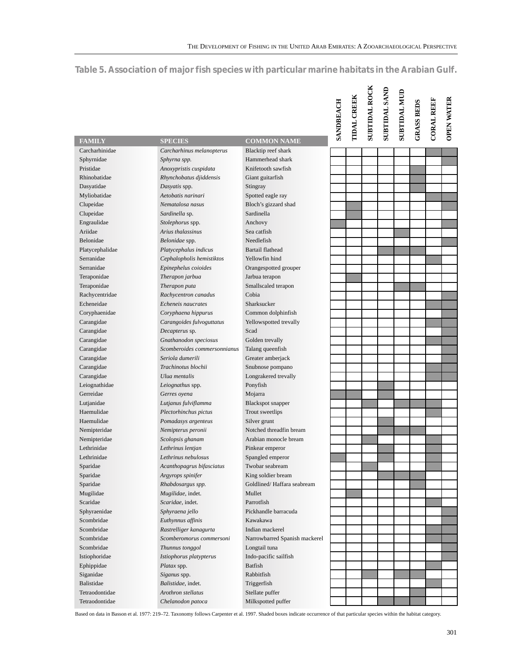# **Table 5. Association of major fish species with particular marine habitats in the Arabian Gulf.**

|                   |                                                                                                                                                                               |                               | SANDBEACH | <b>TIDAL CREEK</b> | <b>SUBTIDAL ROCK</b> | <b>SUBTIDAL SAND</b> | <b>SUBTIDAL MUD</b> | <b>GRASS BEDS</b> | <b>CORAL REEF</b> | <b>OPEN WATER</b> |
|-------------------|-------------------------------------------------------------------------------------------------------------------------------------------------------------------------------|-------------------------------|-----------|--------------------|----------------------|----------------------|---------------------|-------------------|-------------------|-------------------|
| <b>FAMILY</b>     | <b>SPECIES</b>                                                                                                                                                                | <b>COMMON NAME</b>            |           |                    |                      |                      |                     |                   |                   |                   |
| Carcharhinidae    | Carcharhinus melanopterus                                                                                                                                                     | Blacktip reef shark           |           |                    |                      |                      |                     |                   |                   |                   |
| Sphyrnidae        | Sphyrna spp.                                                                                                                                                                  | Hammerhead shark              |           |                    |                      |                      |                     |                   |                   |                   |
| Pristidae         | Anoxypristis cuspidata                                                                                                                                                        | Knifetooth sawfish            |           |                    |                      |                      |                     |                   |                   |                   |
| Rhinobatidae      | Rhynchobatus djiddensis                                                                                                                                                       | Giant guitarfish              |           |                    |                      |                      |                     |                   |                   |                   |
| Dasyatidae        | Dasyatis spp.                                                                                                                                                                 | Stingray                      |           |                    |                      |                      |                     |                   |                   |                   |
| Myliobatidae      | Aetobatis narinari                                                                                                                                                            | Spotted eagle ray             |           |                    |                      |                      |                     |                   |                   |                   |
| Clupeidae         | Nematalosa nasus                                                                                                                                                              | Bloch's gizzard shad          |           |                    |                      |                      |                     |                   |                   |                   |
| Clupeidae         | Sardinella sp.                                                                                                                                                                | Sardinella                    |           |                    |                      |                      |                     |                   |                   |                   |
| Engraulidae       | Stolephorus spp.                                                                                                                                                              | Anchovy                       |           |                    |                      |                      |                     |                   |                   |                   |
| Ariidae           | Arius thalassinus                                                                                                                                                             | Sea catfish                   |           |                    |                      |                      |                     |                   |                   |                   |
| <b>Belonidae</b>  | Belonidae spp.                                                                                                                                                                | Needlefish                    |           |                    |                      |                      |                     |                   |                   |                   |
| Platycephalidae   | Platycephalus indicus                                                                                                                                                         | <b>Bartail flathead</b>       |           |                    |                      |                      |                     |                   |                   |                   |
| Serranidae        | Cephalopholis hemistiktos                                                                                                                                                     | Yellowfin hind                |           |                    |                      |                      |                     |                   |                   |                   |
| Serranidae        | Epinephelus coioides                                                                                                                                                          | Orangespotted grouper         |           |                    |                      |                      |                     |                   |                   |                   |
| Teraponidae       | Therapon jarbua                                                                                                                                                               | Jarbua terapon                |           |                    |                      |                      |                     |                   |                   |                   |
| Teraponidae       | Therapon puta                                                                                                                                                                 | Smallscaled terapon           |           |                    |                      |                      |                     |                   |                   |                   |
| Rachycentridae    | Rachycentron canadus                                                                                                                                                          | Cobia                         |           |                    |                      |                      |                     |                   |                   |                   |
| Echeneidae        | Echeneis naucrates                                                                                                                                                            | Sharksucker                   |           |                    |                      |                      |                     |                   |                   |                   |
| Coryphaenidae     | Coryphaena hippurus                                                                                                                                                           | Common dolphinfish            |           |                    |                      |                      |                     |                   |                   |                   |
| Carangidae        | Carangoides fulvoguttatus                                                                                                                                                     | Yellowspotted trevally        |           |                    |                      |                      |                     |                   |                   |                   |
| Carangidae        | Decapterus sp.                                                                                                                                                                | Scad                          |           |                    |                      |                      |                     |                   |                   |                   |
| Carangidae        | Gnathanodon speciosus                                                                                                                                                         | Golden trevally               |           |                    |                      |                      |                     |                   |                   |                   |
| Carangidae        | Scomberoides commersonnianus                                                                                                                                                  | Talang queenfish              |           |                    |                      |                      |                     |                   |                   |                   |
| Carangidae        | Seriola dumerili                                                                                                                                                              | Greater amberjack             |           |                    |                      |                      |                     |                   |                   |                   |
| Carangidae        | Trachinotus blochii                                                                                                                                                           | Snubnose pompano              |           |                    |                      |                      |                     |                   |                   |                   |
| Carangidae        | Ulua mentalis                                                                                                                                                                 | Longrakered trevally          |           |                    |                      |                      |                     |                   |                   |                   |
| Leiognathidae     | Leiognathus spp.                                                                                                                                                              | Ponyfish                      |           |                    |                      |                      |                     |                   |                   |                   |
| Gerreidae         | Gerres oyena                                                                                                                                                                  | Mojarra                       |           |                    |                      |                      |                     |                   |                   |                   |
| Lutjanidae        | Lutjanus fulviflamma                                                                                                                                                          | <b>Blackspot</b> snapper      |           |                    |                      |                      |                     |                   |                   |                   |
| Haemulidae        | Plectorhinchus pictus                                                                                                                                                         | Trout sweetlips               |           |                    |                      |                      |                     |                   |                   |                   |
| Haemulidae        | Pomadasys argenteus                                                                                                                                                           | Silver grunt                  |           |                    |                      |                      |                     |                   |                   |                   |
| Nemipteridae      | Nemipterus peronii                                                                                                                                                            | Notched threadfin bream       |           |                    |                      |                      |                     |                   |                   |                   |
| Nemipteridae      | Scolopsis ghanam                                                                                                                                                              | Arabian monocle bream         |           |                    |                      |                      |                     |                   |                   |                   |
| Lethrinidae       | Lethrinus lentjan                                                                                                                                                             | Pinkear emperor               |           |                    |                      |                      |                     |                   |                   |                   |
| Lethrinidae       | Lethrinus nebulosus                                                                                                                                                           | Spangled emperor              |           |                    |                      |                      |                     |                   |                   |                   |
| Sparidae          | Acanthopagrus bifasciatus                                                                                                                                                     | Twobar seabream               |           |                    |                      |                      |                     |                   |                   |                   |
| Sparidae          | Argyrops spinifer                                                                                                                                                             | King soldier bream            |           |                    |                      |                      |                     |                   |                   |                   |
| Sparidae          | Rhabdosargus spp.                                                                                                                                                             | Goldlined/Haffara seabream    |           |                    |                      |                      |                     |                   |                   |                   |
| Mugilidae         | Mugilidae, indet.                                                                                                                                                             | Mullet                        |           |                    |                      |                      |                     |                   |                   |                   |
| Scaridae          | Scaridae, indet.                                                                                                                                                              | Parrotfish                    |           |                    |                      |                      |                     |                   |                   |                   |
| Sphyraenidae      | Sphyraena jello                                                                                                                                                               | Pickhandle barracuda          |           |                    |                      |                      |                     |                   |                   |                   |
| Scombridae        | Euthynnus affinis                                                                                                                                                             | Kawakawa                      |           |                    |                      |                      |                     |                   |                   |                   |
| Scombridae        | Rastrelliger kanagurta                                                                                                                                                        | Indian mackerel               |           |                    |                      |                      |                     |                   |                   |                   |
| Scombridae        | Scomberomorus commersoni                                                                                                                                                      | Narrowbarred Spanish mackerel |           |                    |                      |                      |                     |                   |                   |                   |
| Scombridae        | Thunnus tonggol                                                                                                                                                               | Longtail tuna                 |           |                    |                      |                      |                     |                   |                   |                   |
| Istiophoridae     | Istiophorus platypterus                                                                                                                                                       | Indo-pacific sailfish         |           |                    |                      |                      |                     |                   |                   |                   |
| Ephippidae        | Platax spp.                                                                                                                                                                   | <b>Batfish</b>                |           |                    |                      |                      |                     |                   |                   |                   |
| Siganidae         | Siganus spp.                                                                                                                                                                  | Rabbitfish                    |           |                    |                      |                      |                     |                   |                   |                   |
| <b>Balistidae</b> | Balistidae, indet.                                                                                                                                                            | Triggerfish                   |           |                    |                      |                      |                     |                   |                   |                   |
| Tetraodontidae    | Arothron stellatus                                                                                                                                                            | Stellate puffer               |           |                    |                      |                      |                     |                   |                   |                   |
| Tetraodontidae    | Chelanodon patoca                                                                                                                                                             | Milkspotted puffer            |           |                    |                      |                      |                     |                   |                   |                   |
|                   | Based on data in Basson et al. 1977: 219-72. Taxonomy follows Carpenter et al. 1997. Shaded boxes indicate occurrence of that particular species within the habitat category. |                               |           |                    |                      |                      |                     |                   |                   |                   |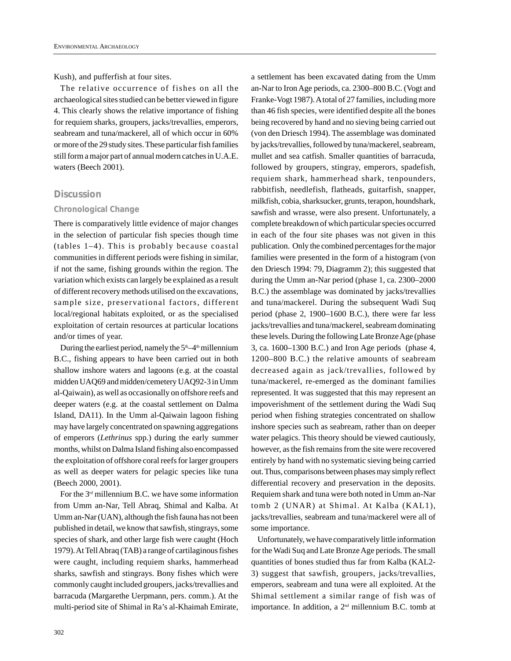Kush), and pufferfish at four sites.

The relative occurrence of fishes on all the archaeological sites studied can be better viewed in figure 4. This clearly shows the relative importance of fishing for requiem sharks, groupers, jacks/trevallies, emperors, seabream and tuna/mackerel, all of which occur in 60% or more of the 29 study sites. These particular fish families still form a major part of annual modern catches in U.A.E. waters (Beech 2001).

## **Discussion**

#### *Chronological Change*

There is comparatively little evidence of major changes in the selection of particular fish species though time (tables 1–4). This is probably because coastal communities in different periods were fishing in similar, if not the same, fishing grounds within the region. The variation which exists can largely be explained as a result of different recovery methods utilised on the excavations, sample size, preservational factors, different local/regional habitats exploited, or as the specialised exploitation of certain resources at particular locations and/or times of year.

During the earliest period, namely the  $5<sup>th</sup>-4<sup>th</sup>$  millennium B.C., fishing appears to have been carried out in both shallow inshore waters and lagoons (e.g. at the coastal midden UAQ69 and midden/cemetery UAQ92-3 in Umm al-Qaiwain), as well as occasionally on offshore reefs and deeper waters (e.g. at the coastal settlement on Dalma Island, DA11). In the Umm al-Qaiwain lagoon fishing may have largely concentrated on spawning aggregations of emperors (*Lethrinus* spp.) during the early summer months, whilst on Dalma Island fishing also encompassed the exploitation of offshore coral reefs for larger groupers as well as deeper waters for pelagic species like tuna (Beech 2000, 2001).

For the 3rd millennium B.C. we have some information from Umm an-Nar, Tell Abraq, Shimal and Kalba. At Umm an-Nar (UAN), although the fish fauna has not been published in detail, we know that sawfish, stingrays, some species of shark, and other large fish were caught (Hoch 1979). At Tell Abraq (TAB) a range of cartilaginous fishes were caught, including requiem sharks, hammerhead sharks, sawfish and stingrays. Bony fishes which were commonly caught included groupers, jacks/trevallies and barracuda (Margarethe Uerpmann, pers. comm.). At the multi-period site of Shimal in Ra's al-Khaimah Emirate,

a settlement has been excavated dating from the Umm an-Nar to Iron Age periods, ca. 2300–800 B.C. (Vogt and Franke-Vogt 1987). Atotal of 27 families, including more than 46 fish species, were identified despite all the bones being recovered by hand and no sieving being carried out (von den Driesch 1994). The assemblage was dominated by jacks/trevallies, followed by tuna/mackerel, seabream, mullet and sea catfish. Smaller quantities of barracuda, followed by groupers, stingray, emperors, spadefish, requiem shark, hammerhead shark, tenpounders, rabbitfish, needlefish, flatheads, guitarfish, snapper, milkfish, cobia, sharksucker, grunts, terapon, houndshark, sawfish and wrasse, were also present. Unfortunately, a complete breakdown of which particular species occurred in each of the four site phases was not given in this publication. Only the combined percentages for the major families were presented in the form of a histogram (von den Driesch 1994: 79, Diagramm 2); this suggested that during the Umm an-Nar period (phase 1, ca. 2300–2000 B.C.) the assemblage was dominated by jacks/trevallies and tuna/mackerel. During the subsequent Wadi Suq period (phase 2, 1900–1600 B.C.), there were far less jacks/trevallies and tuna/mackerel, seabream dominating these levels. During the following Late Bronze Age (phase 3, ca. 1600–1300 B.C.) and Iron Age periods (phase 4, 1200–800 B.C.) the relative amounts of seabream decreased again as jack/trevallies, followed by tuna/mackerel, re-emerged as the dominant families represented. It was suggested that this may represent an impoverishment of the settlement during the Wadi Suq period when fishing strategies concentrated on shallow inshore species such as seabream, rather than on deeper water pelagics. This theory should be viewed cautiously, however, as the fish remains from the site were recovered entirely by hand with no systematic sieving being carried out. Thus, comparisons between phases may simply reflect differential recovery and preservation in the deposits. Requiem shark and tuna were both noted in Umm an-Nar tomb 2 (UNAR) at Shimal. At Kalba (KAL1), jacks/trevallies, seabream and tuna/mackerel were all of some importance.

Unfortunately, we have comparatively little information for the Wadi Suq and Late Bronze Age periods. The small quantities of bones studied thus far from Kalba (KAL2- 3) suggest that sawfish, groupers, jacks/trevallies, emperors, seabream and tuna were all exploited. At the Shimal settlement a similar range of fish was of importance. In addition, a 2<sup>nd</sup> millennium B.C. tomb at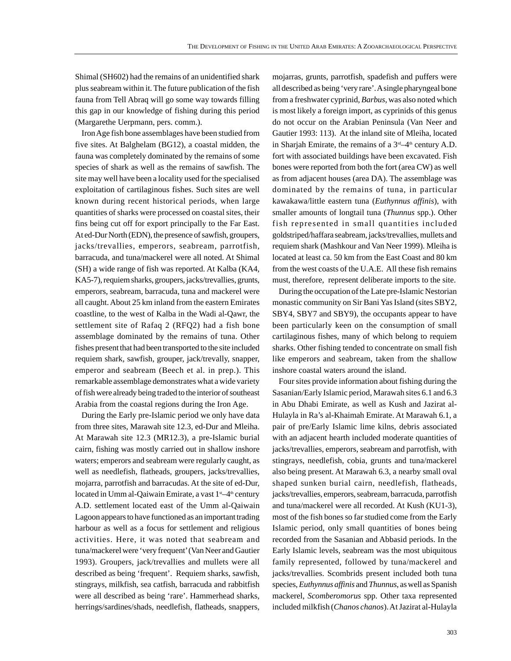Shimal (SH602) had the remains of an unidentified shark plus seabream within it. The future publication of the fish fauna from Tell Abraq will go some way towards filling this gap in our knowledge of fishing during this period (Margarethe Uerpmann, pers. comm.).

Iron Age fish bone assemblages have been studied from five sites. At Balghelam (BG12), a coastal midden, the fauna was completely dominated by the remains of some species of shark as well as the remains of sawfish. The site may well have been a locality used for the specialised exploitation of cartilaginous fishes. Such sites are well known during recent historical periods, when large quantities of sharks were processed on coastal sites, their fins being cut off for export principally to the Far East. At ed-Dur North (EDN), the presence of sawfish, groupers, jacks/trevallies, emperors, seabream, parrotfish, barracuda, and tuna/mackerel were all noted. At Shimal (SH) a wide range of fish was reported. At Kalba (KA4, KA5-7), requiem sharks, groupers, jacks/trevallies, grunts, emperors, seabream, barracuda, tuna and mackerel were all caught. About 25 km inland from the eastern Emirates coastline, to the west of Kalba in the Wadi al-Qawr, the settlement site of Rafaq 2 (RFQ2) had a fish bone assemblage dominated by the remains of tuna. Other fishes present that had been transported to the site included requiem shark, sawfish, grouper, jack/trevally, snapper, emperor and seabream (Beech et al. in prep.). This remarkable assemblage demonstrates what a wide variety of fish were already being traded to the interior of southeast Arabia from the coastal regions during the Iron Age.

During the Early pre-Islamic period we only have data from three sites, Marawah site 12.3, ed-Dur and Mleiha. At Marawah site 12.3 (MR12.3), a pre-Islamic burial cairn, fishing was mostly carried out in shallow inshore waters; emperors and seabream were regularly caught, as well as needlefish, flatheads, groupers, jacks/trevallies, mojarra, parrotfish and barracudas. At the site of ed-Dur, located in Umm al-Qaiwain Emirate, a vast  $1<sup>st</sup>-4<sup>th</sup>$  century A.D. settlement located east of the Umm al-Qaiwain Lagoon appears to have functioned as an important trading harbour as well as a focus for settlement and religious activities. Here, it was noted that seabream and tuna/mackerel were 'very frequent'(Van Neer and Gautier 1993). Groupers, jack/trevallies and mullets were all described as being 'frequent'. Requiem sharks, sawfish, stingrays, milkfish, sea catfish, barracuda and rabbitfish were all described as being 'rare'. Hammerhead sharks, herrings/sardines/shads, needlefish, flatheads, snappers, mojarras, grunts, parrotfish, spadefish and puffers were all described as being 'very rare'. Asingle pharyngeal bone from a freshwater cyprinid, *Barbus*, was also noted which is most likely a foreign import, as cyprinids of this genus do not occur on the Arabian Peninsula (Van Neer and Gautier 1993: 113). At the inland site of Mleiha, located in Sharjah Emirate, the remains of a  $3<sup>rd</sup>-4<sup>th</sup>$  century A.D. fort with associated buildings have been excavated. Fish bones were reported from both the fort (area CW) as well as from adjacent houses (area DA). The assemblage was dominated by the remains of tuna, in particular kawakawa/little eastern tuna (*Euthynnus affinis*), with smaller amounts of longtail tuna (*Thunnus* spp.). Other fish represented in small quantities included goldstriped/haffara seabream, jacks/trevallies, mullets and requiem shark (Mashkour and Van Neer 1999). Mleiha is located at least ca. 50 km from the East Coast and 80 km from the west coasts of the U.A.E. All these fish remains must, therefore, represent deliberate imports to the site.

During the occupation of the Late pre-Islamic Nestorian monastic community on Sir Bani Yas Island (sites SBY2, SBY4, SBY7 and SBY9), the occupants appear to have been particularly keen on the consumption of small cartilaginous fishes, many of which belong to requiem sharks. Other fishing tended to concentrate on small fish like emperors and seabream, taken from the shallow inshore coastal waters around the island.

Four sites provide information about fishing during the Sasanian/Early Islamic period, Marawah sites 6.1 and 6.3 in Abu Dhabi Emirate, as well as Kush and Jazirat al-Hulayla in Ra's al-Khaimah Emirate. At Marawah 6.1, a pair of pre/Early Islamic lime kilns, debris associated with an adjacent hearth included moderate quantities of jacks/trevallies, emperors, seabream and parrotfish, with stingrays, needlefish, cobia, grunts and tuna/mackerel also being present. At Marawah 6.3, a nearby small oval shaped sunken burial cairn, needlefish, flatheads, jacks/trevallies, emperors, seabream, barracuda, parrotfish and tuna/mackerel were all recorded. At Kush (KU1-3), most of the fish bones so far studied come from the Early Islamic period, only small quantities of bones being recorded from the Sasanian and Abbasid periods. In the Early Islamic levels, seabream was the most ubiquitous family represented, followed by tuna/mackerel and jacks/trevallies. Scombrids present included both tuna species, *Euthynnus affinis* and *Thunnus*, as well as Spanish mackerel, *Scomberomorus* spp. Other taxa represented included milkfish (*Chanos chanos*). At Jazirat al-Hulayla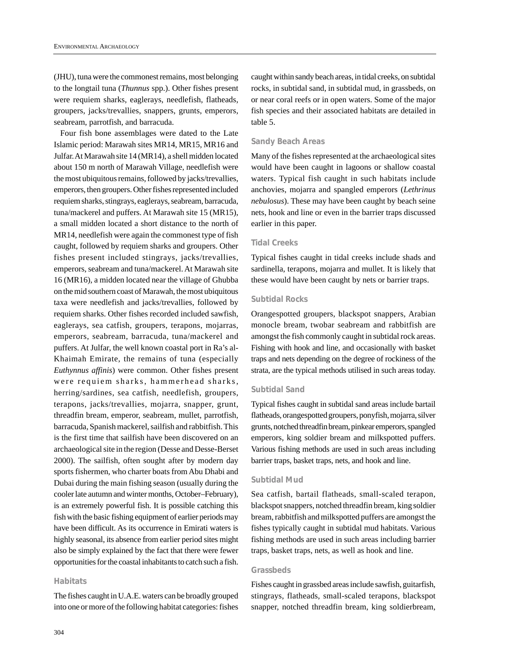<span id="page-20-0"></span>(JHU), tuna were the commonest remains, most belonging to the longtail tuna (*Thunnus* spp.). Other fishes present were requiem sharks, eaglerays, needlefish, flatheads, groupers, jacks/trevallies, snappers, grunts, emperors, seabream, parrotfish, and barracuda.

Four fish bone assemblages were dated to the Late Islamic period: Marawah sites MR14, MR15, MR16 and Julfar. At Marawah site 14 (MR14), a shell midden located about 150 m north of Marawah Village, needlefish were the most ubiquitous remains, followed by jacks/trevallies, emperors, then groupers. Other fishes represented included requiem sharks, stingrays, eaglerays, seabream, barracuda, tuna/mackerel and puffers. At Marawah site 15 (MR15), a small midden located a short distance to the north of MR14, needlefish were again the commonest type of fish caught, followed by requiem sharks and groupers. Other fishes present included stingrays, jacks/trevallies, emperors, seabream and tuna/mackerel. At Marawah site 16 (MR16), a midden located near the village of Ghubba on the mid southern coast of Marawah, the most ubiquitous taxa were needlefish and jacks/trevallies, followed by requiem sharks. Other fishes recorded included sawfish, eaglerays, sea catfish, groupers, terapons, mojarras, emperors, seabream, barracuda, tuna/mackerel and puffers. At Julfar, the well known coastal port in Ra's al-Khaimah Emirate, the remains of tuna (especially *Euthynnus affinis*) were common. Other fishes present were requiem sharks, hammerhead sharks, herring/sardines, sea catfish, needlefish, groupers, terapons, jacks/trevallies, mojarra, snapper, grunt, threadfin bream, emperor, seabream, mullet, parrotfish, barracuda, Spanish mackerel, sailfish and rabbitfish. This is the first time that sailfish have been discovered on an archaeological site in the region (Desse and Desse-Berset 2000). The sailfish, often sought after by modern day sports fishermen, who charter boats from Abu Dhabi and Dubai during the main fishing season (usually during the cooler late autumn and winter months, October–February), is an extremely powerful fish. It is possible catching this fish with the basic fishing equipment of earlier periods may have been difficult. As its occurrence in Emirati waters is highly seasonal, its absence from earlier period sites might also be simply explained by the fact that there were fewer opportunities for the coastal inhabitants to catch such a fish.

#### *Habitats*

The fishes caught in U.A.E. waters can be broadly grouped into one or more of the following habitat categories: fishes caught within sandy beach areas, in tidal creeks, on subtidal rocks, in subtidal sand, in subtidal mud, in grassbeds, on or near coral reefs or in open waters. Some of the major fish species and their associated habitats are detailed in table 5.

#### *Sandy Beach Areas*

Many of the fishes represented at the archaeological sites would have been caught in lagoons or shallow coastal waters. Typical fish caught in such habitats include anchovies, mojarra and spangled emperors (*Lethrinus nebulosus*). These may have been caught by beach seine nets, hook and line or even in the barrier traps discussed earlier in this paper.

# *Tidal Creeks*

Typical fishes caught in tidal creeks include shads and sardinella, terapons, mojarra and mullet. It is likely that these would have been caught by nets or barrier traps.

#### *Subtidal Rocks*

Orangespotted groupers, blackspot snappers, Arabian monocle bream, twobar seabream and rabbitfish are amongst the fish commonly caught in subtidal rock areas. Fishing with hook and line, and occasionally with basket traps and nets depending on the degree of rockiness of the strata, are the typical methods utilised in such areas today.

#### *Subtidal Sand*

Typical fishes caught in subtidal sand areas include bartail flatheads, orangespotted groupers, ponyfish, mojarra, silver grunts, notched threadfin bream, pinkear emperors, spangled emperors, king soldier bream and milkspotted puffers. Various fishing methods are used in such areas including barrier traps, basket traps, nets, and hook and line.

#### *Subtidal Mud*

Sea catfish, bartail flatheads, small-scaled terapon, blackspot snappers, notched threadfin bream, king soldier bream, rabbitfish and milkspotted puffers are amongst the fishes typically caught in subtidal mud habitats. Various fishing methods are used in such areas including barrier traps, basket traps, nets, as well as hook and line.

## *Grassbeds*

Fishes caught in grassbed areas include sawfish, guitarfish, stingrays, flatheads, small-scaled terapons, blackspot snapper, notched threadfin bream, king soldierbream,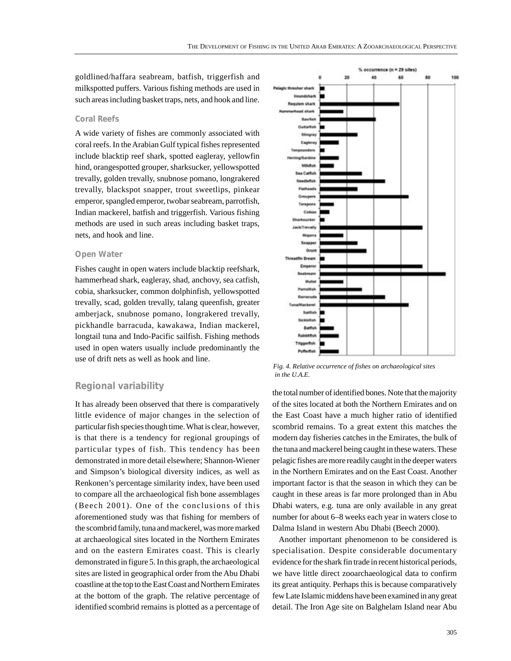goldlined/haffara seabream, batfish, triggerfish and milkspotted puffers. Various fishing methods are used in such areas including basket traps, nets, and hook and line.

#### *Coral Reefs*

A wide variety of fishes are commonly associated with coral reefs. In the Arabian Gulf typical fishes represented include blacktip reef shark, spotted eagleray, yellowfin hind, orangespotted grouper, sharksucker, yellowspotted trevally, golden trevally, snubnose pomano, longrakered trevally, blackspot snapper, trout sweetlips, pinkear emperor, spangled emperor, twobar seabream, parrotfish, Indian mackerel, batfish and triggerfish. Various fishing methods are used in such areas including basket traps, nets, and hook and line.

#### *Open Water*

Fishes caught in open waters include blacktip reefshark, hammerhead shark, eagleray, shad, anchovy, sea catfish, cobia, sharksucker, common dolphinfish, yellowspotted trevally, scad, golden trevally, talang queenfish, greater amberjack, snubnose pomano, longrakered trevally, pickhandle barracuda, kawakawa, Indian mackerel, longtail tuna and Indo-Pacific sailfish. Fishing methods used in open waters usually include predominantly the use of drift nets as well as hook and line.

# **Regional variability**

It has already been observed that there is comparatively little evidence of major changes in the selection of particular fish species though time. What is clear, however, is that there is a tendency for regional groupings of particular types of fish. This tendency has been demonstrated in more detail elsewhere; Shannon-Wiener and Simpson's biological diversity indices, as well as Renkonen's percentage similarity index, have been used to compare all the archaeological fish bone assemblages (Beech 2001). One of the conclusions of this aforementioned study was that fishing for members of the scombrid family, tuna and mackerel, was more marked at archaeological sites located in the Northern Emirates and on the eastern Emirates coast. This is clearly demonstrated in figure 5. In this graph, the archaeological sites are listed in geographical order from the Abu Dhabi coastline at the top to the East Coast and Northern Emirates at the bottom of the graph. The relative percentage of identified scombrid remains is plotted as a percentage of



*Fig. 4. Relative occurrence of fishes on archaeological sites in the U.A.E.*

the total number of identified bones. Note that the majority of the sites located at both the Northern Emirates and on the East Coast have a much higher ratio of identified scombrid remains. To a great extent this matches the modern day fisheries catches in the Emirates, the bulk of the tuna and mackerel being caught in these waters. These pelagic fishes are more readily caught in the deeper waters in the Northern Emirates and on the East Coast. Another important factor is that the season in which they can be caught in these areas is far more prolonged than in Abu Dhabi waters, e.g. tuna are only available in any great number for about 6–8 weeks each year in waters close to Dalma Island in western Abu Dhabi (Beech 2000).

Another important phenomenon to be considered is specialisation. Despite considerable documentary evidence for the shark fin trade in recent historical periods, we have little direct zooarchaeological data to confirm its great antiquity. Perhaps this is because comparatively few Late Islamic middens have been examined in any great detail. The Iron Age site on Balghelam Island near Abu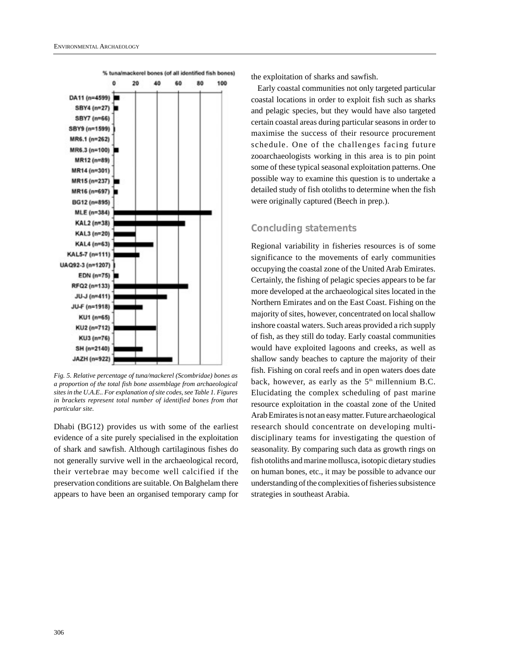

*Fig. 5. Relative percentage of tuna/mackerel (Scombridae) bones as a proportion of the total fish bone assemblage from archaeological sites in the U.A.E.. For explanation of site codes, see Table 1. Figures in brackets represent total number of identified bones from that particular site.*

Dhabi (BG12) provides us with some of the earliest evidence of a site purely specialised in the exploitation of shark and sawfish. Although cartilaginous fishes do not generally survive well in the archaeological record, their vertebrae may become well calcified if the preservation conditions are suitable. On Balghelam there appears to have been an organised temporary camp for the exploitation of sharks and sawfish.

Early coastal communities not only targeted particular coastal locations in order to exploit fish such as sharks and pelagic species, but they would have also targeted certain coastal areas during particular seasons in order to maximise the success of their resource procurement schedule. One of the challenges facing future zooarchaeologists working in this area is to pin point some of these typical seasonal exploitation patterns. One possible way to examine this question is to undertake a detailed study of fish otoliths to determine when the fish were originally captured (Beech in prep.).

# **Concluding statements**

Regional variability in fisheries resources is of some significance to the movements of early communities occupying the coastal zone of the United Arab Emirates. Certainly, the fishing of pelagic species appears to be far more developed at the archaeological sites located in the Northern Emirates and on the East Coast. Fishing on the majority of sites, however, concentrated on local shallow inshore coastal waters. Such areas provided a rich supply of fish, as they still do today. Early coastal communities would have exploited lagoons and creeks, as well as shallow sandy beaches to capture the majority of their fish. Fishing on coral reefs and in open waters does date back, however, as early as the  $5<sup>th</sup>$  millennium B.C. Elucidating the complex scheduling of past marine resource exploitation in the coastal zone of the United Arab Emirates is not an easy matter. Future archaeological research should concentrate on developing multidisciplinary teams for investigating the question of seasonality. By comparing such data as growth rings on fish otoliths and marine mollusca, isotopic dietary studies on human bones, etc., it may be possible to advance our understanding of the complexities of fisheries subsistence strategies in southeast Arabia.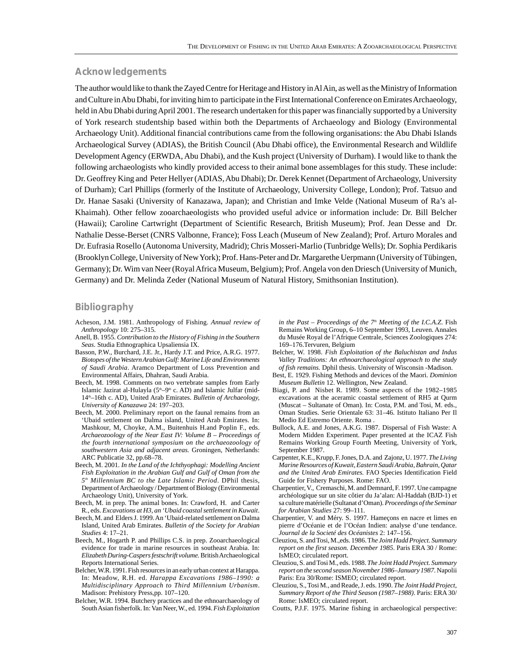#### **Acknowledgements**

The author would like to thank the Zayed Centre for Heritage and History in Al Ain, as well as the Ministry of Information and Culture in Abu Dhabi, for inviting him to participate in the First International Conference on Emirates Archaeology, held in Abu Dhabi during April 2001. The research undertaken for this paper was financially supported by a University of York research studentship based within both the Departments of Archaeology and Biology (Environmental Archaeology Unit). Additional financial contributions came from the following organisations: the Abu Dhabi Islands Archaeological Survey (ADIAS), the British Council (Abu Dhabi office), the Environmental Research and Wildlife Development Agency (ERWDA, Abu Dhabi), and the Kush project (University of Durham). I would like to thank the following archaeologists who kindly provided access to their animal bone assemblages for this study. These include: Dr. Geoffrey King and Peter Hellyer (ADIAS, Abu Dhabi); Dr. Derek Kennet (Department of Archaeology, University of Durham); Carl Phillips (formerly of the Institute of Archaeology, University College, London); Prof. Tatsuo and Dr. Hanae Sasaki (University of Kanazawa, Japan); and Christian and Imke Velde (National Museum of Ra's al-Khaimah). Other fellow zooarchaeologists who provided useful advice or information include: Dr. Bill Belcher (Hawaii); Caroline Cartwright (Department of Scientific Research, British Museum); Prof. Jean Desse and Dr. Nathalie Desse-Berset (CNRS Valbonne, France); Foss Leach (Museum of New Zealand); Prof. Arturo Morales and Dr. Eufrasia Rosello (Autonoma University, Madrid); Chris Mosseri-Marlio (Tunbridge Wells); Dr. Sophia Perdikaris (Brooklyn College, University of New York); Prof. Hans-Peter and Dr. Margarethe Uerpmann (University of Tübingen, Germany); Dr. Wim van Neer (Royal Africa Museum, Belgium); Prof. Angela von den Driesch (University of Munich, Germany) and Dr. Melinda Zeder (National Museum of Natural History, Smithsonian Institution).

# **Bibliography**

- Acheson, J.M. 1981. Anthropology of Fishing. *Annual review of Anthropology* 10: 275–315.
- Anell, B. 1955. *Contribution to the History of Fishing in the Southern Seas*. Studia Ethnographica Upsaliensia IX.
- Basson, P.W., Burchard, J.E. Jr., Hardy J.T. and Price, A.R.G. 1977. *Biotopes of the Western Arabian Gulf: Marine Life and Environments of Saudi Arabia*. Aramco Department of Loss Prevention and Environmental Affairs, Dhahran, Saudi Arabia.
- Beech, M. 1998. Comments on two vertebrate samples from Early Islamic Jazirat al-Hulayla ( $5<sup>th</sup>-9<sup>th</sup>$  c. AD) and Islamic Julfar (mid-14th–16th c. AD), United Arab Emirates. *Bulletin of Archaeology, University of Kanazawa* 24: 197–203.
- Beech, M. 2000. Preliminary report on the faunal remains from an 'Ubaid settlement on Dalma island, United Arab Emirates. In: Mashkour, M, Choyke, A.M., Buitenhuis H.and Poplin F., eds. *Archaeozoology of the Near East IV: Volume B – Proceedings of the fourth international symposium on the archaeozoology of southwestern Asia and adjacent areas.* Groningen, Netherlands: ARC Publicatie 32, pp.68–78.
- Beech, M. 2001. *In the Land of the Ichthyophagi: Modelling Ancient Fish Exploitation in the Arabian Gulf and Gulf of Oman from the 5th Millennium BC to the Late Islamic Period*. DPhil thesis, Department of Archaeology / Department of Biology (Environmental Archaeology Unit), University of York.
- Beech, M. in prep. The animal bones. In: Crawford, H. and Carter R., eds. *Excavations at H3, an 'Ubaid coastal settlement in Kuwait*.
- Beech, M. and Elders J. 1999. An 'Ubaid-related settlement on Dalma Island, United Arab Emirates. *Bulletin of the Society for Arabian Studies* 4: 17–21.
- Beech, M., Hogarth P. and Phillips C.S. in prep. Zooarchaeological evidence for trade in marine resources in southeast Arabia. In: *Elizabeth During-Caspers festschrift volume.*British Archaeological Reports International Series.
- Belcher, W.R. 1991. Fish resources in an early urban context at Harappa. In: Meadow, R.H. ed. *Harappa Excavations 1986–1990: a Multidisciplinary Approach to Third Millennium Urbanism*. Madison: Prehistory Press,pp. 107–120.
- Belcher, W.R. 1994. Butchery practices and the ethnoarchaeology of South Asian fisherfolk. In: Van Neer, W., ed. 1994. *Fish Exploitation*

*in the Past – Proceedings of the 7<sup>th</sup> Meeting of the I.C.A.Z.* Fish Remains Working Group, 6–10 September 1993, Leuven. Annales du Musée Royal de l'Afrique Centrale, Sciences Zoologiques 274: 169–176.Tervuren, Belgium

- Belcher, W. 1998. *Fish Exploitation of the Baluchistan and Indus Valley Traditions: An ethnoarchaeological approach to the study of fish remains.* Dphil thesis. University of Wisconsin -Madison.
- Best, E. 1929. Fishing Methods and devices of the Maori. *Dominion Museum Bulletin* 12. Wellington, New Zealand.
- Biagi, P. and Nisbet R. 1989. Some aspects of the 1982–1985 excavations at the aceramic coastal settlement of RH5 at Qurm (Muscat – Sultanate of Oman). In: Costa, P.M. and Tosi, M. eds., Oman Studies. Serie Orientale 63: 31–46. Istituto Italiano Per Il Medio Ed Estremo Oriente. Roma .
- Bullock, A.E. and Jones, A.K.G. 1987. Dispersal of Fish Waste: A Modern Midden Experiment. Paper presented at the ICAZ Fish Remains Working Group Fourth Meeting, University of York, September 1987.
- Carpenter, K.E., Krupp, F. Jones, D.A. and Zajonz, U. 1977. *The Living Marine Resources of Kuwait, Eastern Saudi Arabia, Bahrain, Qatar and the United Arab Emirates.* FAO Species Identification Field Guide for Fishery Purposes. Rome: FAO.
- Charpentier, V., Cremaschi, M. and Demnard, F. 1997. Une campagne archéologique sur un site côtier du Ja'alan: Al-Haddah (BJD-1) et sa culture matérielle (Sultanat d'Oman). *Proceedings of the Seminar for Arabian Studies* 27: 99–111.
- Charpentier, V. and Méry. S. 1997. Hameçons en nacre et limes en pierre d'Océanie et de l'Océan Indien: analyse d'une tendance. *Journal de la Societé des Océanistes* 2: 147–156.
- Cleuziou, S. and Tosi, M.,eds. 1986. T*he Joint Hadd Project. Summary report on the first season. December 1985*. Paris ERA 30 / Rome: IsMEO; circulated report.
- Cleuziou, S. and Tosi M., eds. 1988. *The Joint Hadd Project. Summary report on the second season November 1986–January 1987*. Napolii Paris: Era 30/Rome: ISMEO; circulated report.
- Cleuziou, S., Tosi M., and Reade, J. eds. 1990. *The Joint Hadd Project, Summary Report of the Third Season (1987–1988)*. Paris: ERA 30/ Rome: IsMEO; circulated report.
- Coutts, P.J.F. 1975. Marine fishing in archaeological perspective: